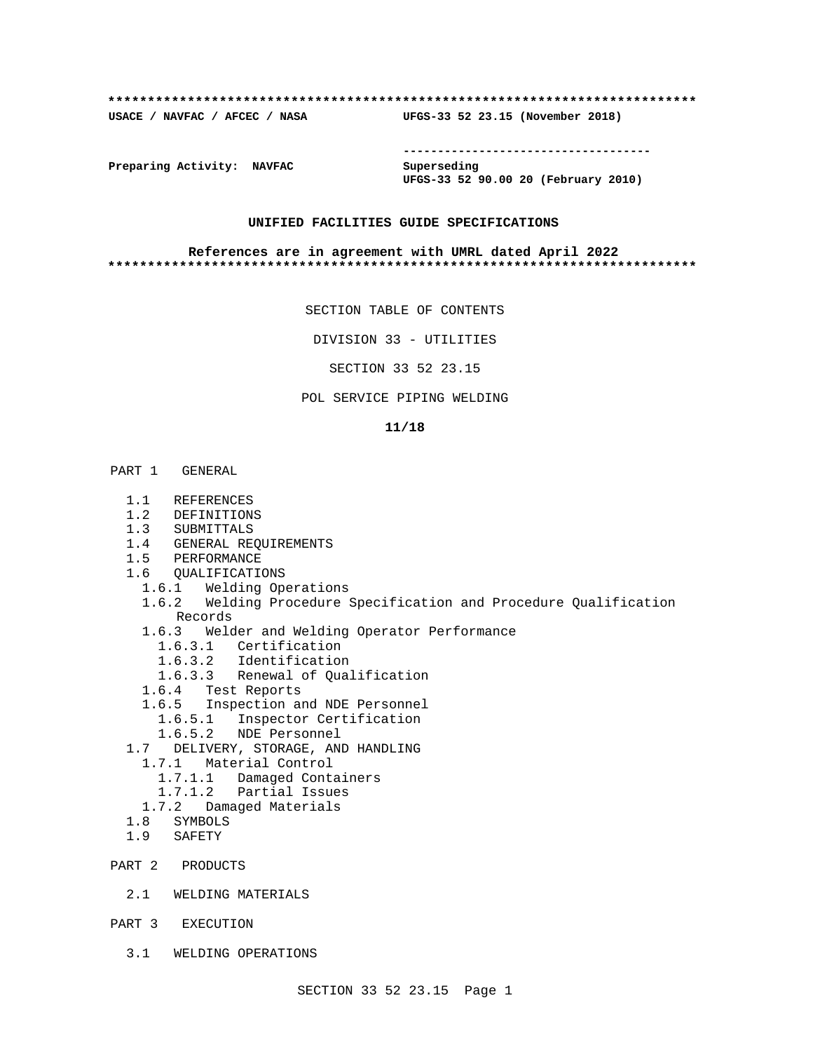#### **\*\*\*\*\*\*\*\*\*\*\*\*\*\*\*\*\*\*\*\*\*\*\*\*\*\*\*\*\*\*\*\*\*\*\*\*\*\*\*\*\*\*\*\*\*\*\*\*\*\*\*\*\*\*\*\*\*\*\*\*\*\*\*\*\*\*\*\*\*\*\*\*\*\***

**USACE / NAVFAC / AFCEC / NASA UFGS-33 52 23.15 (November 2018)**

**------------------------------------**

**Preparing Activity: NAVFAC Superseding**

**UFGS-33 52 90.00 20 (February 2010)**

## **UNIFIED FACILITIES GUIDE SPECIFICATIONS**

#### **References are in agreement with UMRL dated April 2022 \*\*\*\*\*\*\*\*\*\*\*\*\*\*\*\*\*\*\*\*\*\*\*\*\*\*\*\*\*\*\*\*\*\*\*\*\*\*\*\*\*\*\*\*\*\*\*\*\*\*\*\*\*\*\*\*\*\*\*\*\*\*\*\*\*\*\*\*\*\*\*\*\*\***

SECTION TABLE OF CONTENTS

DIVISION 33 - UTILITIES

SECTION 33 52 23.15

POL SERVICE PIPING WELDING

#### **11/18**

- PART 1 GENERAL
	- 1.1 REFERENCES
	- 1.2 DEFINITIONS
	- 1.3 SUBMITTALS
	- 1.4 GENERAL REQUIREMENTS
	- 1.5 PERFORMANCE
	- 1.6 QUALIFICATIONS
		- 1.6.1 Welding Operations
		- 1.6.2 Welding Procedure Specification and Procedure Qualification Records
		- 1.6.3 Welder and Welding Operator Performance
			- 1.6.3.1 Certification
			- 1.6.3.2 Identification
			- 1.6.3.3 Renewal of Qualification
		- 1.6.4 Test Reports
		- 1.6.5 Inspection and NDE Personnel
			- 1.6.5.1 Inspector Certification
			- 1.6.5.2 NDE Personnel
	- 1.7 DELIVERY, STORAGE, AND HANDLING
		- 1.7.1 Material Control
			- 1.7.1.1 Damaged Containers
		- 1.7.1.2 Partial Issues
		- 1.7.2 Damaged Materials
	- 1.8 SYMBOLS
	- 1.9 SAFETY
- PART 2 PRODUCTS
	- 2.1 WELDING MATERIALS
- PART 3 EXECUTION
	- 3.1 WELDING OPERATIONS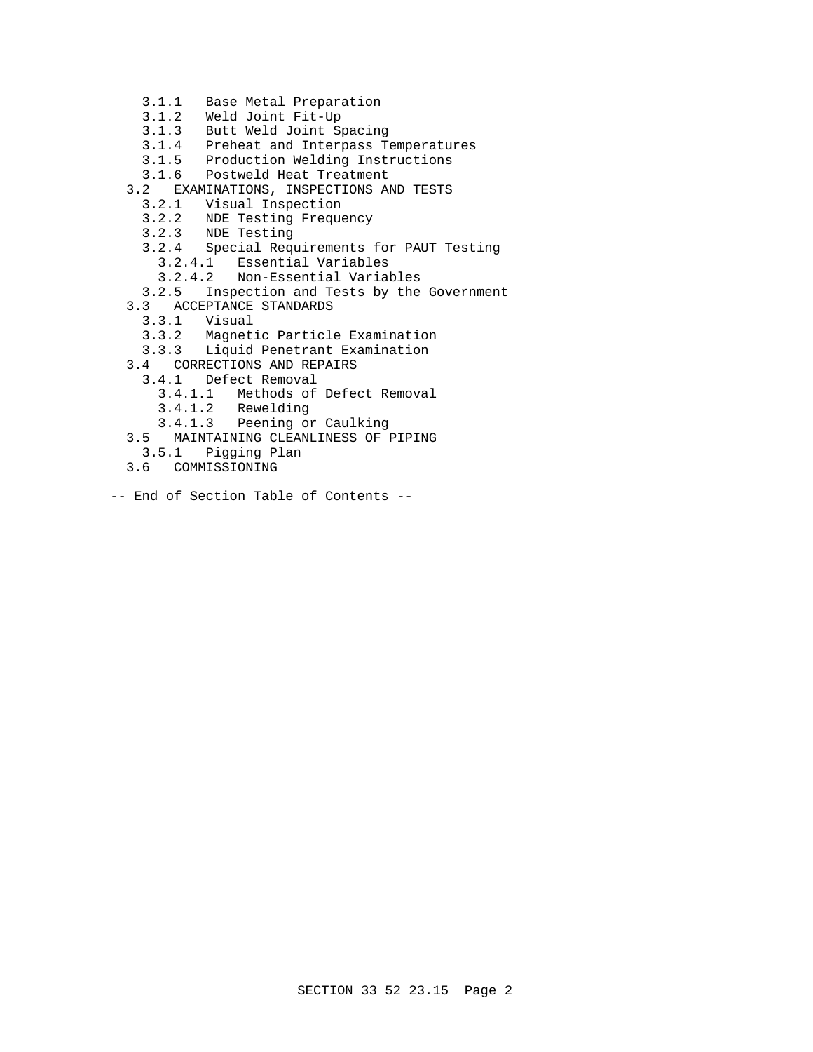- 3.1.1 Base Metal Preparation
- 3.1.2 Weld Joint Fit-Up
- 3.1.3 Butt Weld Joint Spacing
- 3.1.4 Preheat and Interpass Temperatures
- 3.1.5 Production Welding Instructions
- 3.1.6 Postweld Heat Treatment
- 3.2 EXAMINATIONS, INSPECTIONS AND TESTS
	- 3.2.1 Visual Inspection
	- 3.2.2 NDE Testing Frequency
	- 3.2.3 NDE Testing
	- 3.2.4 Special Requirements for PAUT Testing
		- 3.2.4.1 Essential Variables
		- 3.2.4.2 Non-Essential Variables
	- 3.2.5 Inspection and Tests by the Government
- 3.3 ACCEPTANCE STANDARDS<br>3.3.1 Visual
	- 3.3.1 Visual
	- 3.3.2 Magnetic Particle Examination
	- 3.3.3 Liquid Penetrant Examination
- 3.4 CORRECTIONS AND REPAIRS
	- 3.4.1 Defect Removal
		- 3.4.1.1 Methods of Defect Removal
		- 3.4.1.2 Rewelding
		- 3.4.1.3 Peening or Caulking
- 3.5 MAINTAINING CLEANLINESS OF PIPING
- 3.5.1 Pigging Plan
- 3.6 COMMISSIONING
- -- End of Section Table of Contents --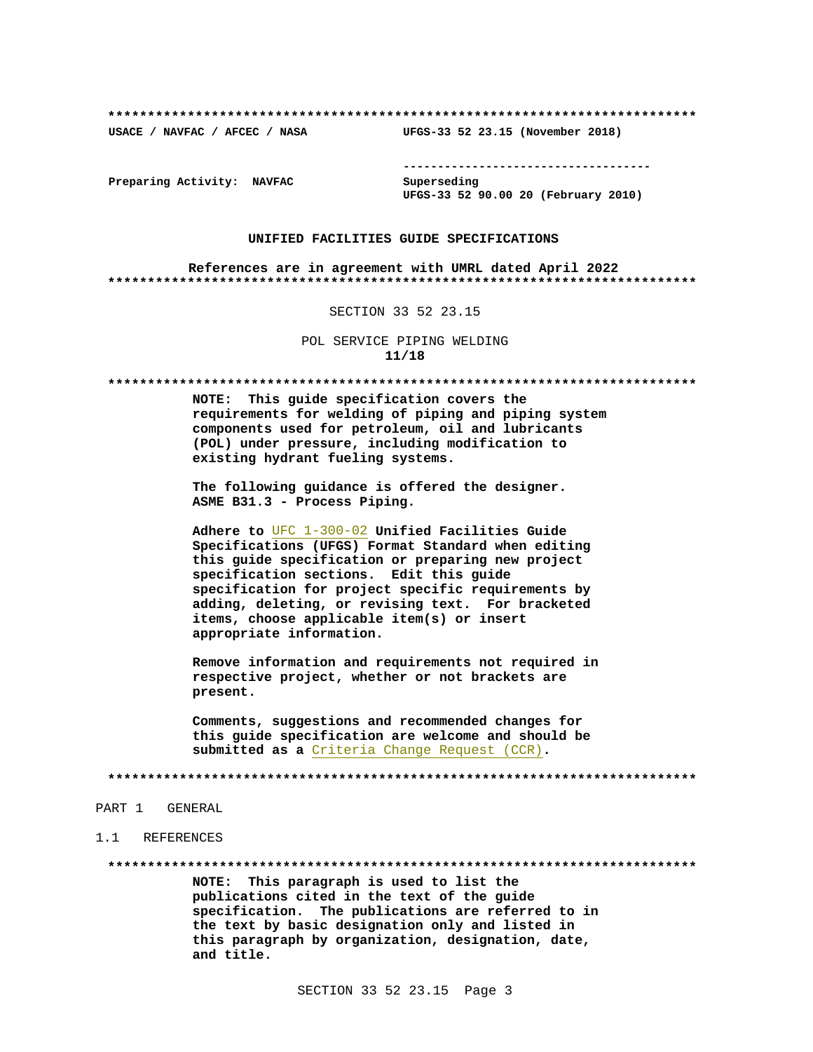USACE / NAVFAC / AFCEC / NASA

--------------------------------------

UFGS-33 52 23.15 (November 2018)

Preparing Activity: NAVFAC

Superseding UFGS-33 52 90.00 20 (February 2010)

#### UNIFIED FACILITIES GUIDE SPECIFICATIONS

References are in agreement with UMRL dated April 2022 

## SECTION 33 52 23.15

POL SERVICE PIPING WELDING  $11/18$ 

NOTE: This quide specification covers the requirements for welding of piping and piping system components used for petroleum, oil and lubricants (POL) under pressure, including modification to existing hydrant fueling systems.

The following guidance is offered the designer. ASME B31.3 - Process Piping.

Adhere to UFC 1-300-02 Unified Facilities Guide Specifications (UFGS) Format Standard when editing this guide specification or preparing new project specification sections. Edit this guide specification for project specific requirements by adding, deleting, or revising text. For bracketed items, choose applicable item(s) or insert appropriate information.

Remove information and requirements not required in respective project, whether or not brackets are present.

Comments, suggestions and recommended changes for this guide specification are welcome and should be submitted as a Criteria Change Request (CCR).

#### PART 1 GENERAL

#### 1.1 REFERENCES

NOTE: This paragraph is used to list the publications cited in the text of the guide specification. The publications are referred to in the text by basic designation only and listed in this paragraph by organization, designation, date, and title.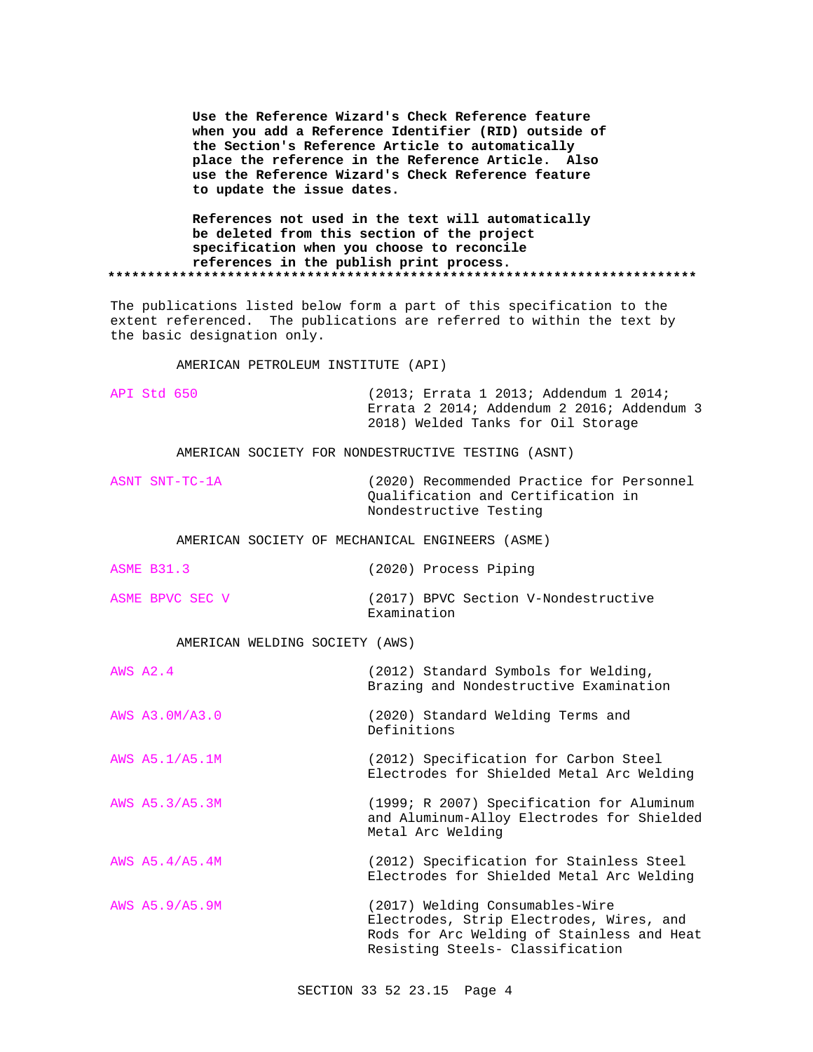**Use the Reference Wizard's Check Reference feature when you add a Reference Identifier (RID) outside of the Section's Reference Article to automatically place the reference in the Reference Article. Also use the Reference Wizard's Check Reference feature to update the issue dates.**

**References not used in the text will automatically be deleted from this section of the project specification when you choose to reconcile references in the publish print process. \*\*\*\*\*\*\*\*\*\*\*\*\*\*\*\*\*\*\*\*\*\*\*\*\*\*\*\*\*\*\*\*\*\*\*\*\*\*\*\*\*\*\*\*\*\*\*\*\*\*\*\*\*\*\*\*\*\*\*\*\*\*\*\*\*\*\*\*\*\*\*\*\*\***

The publications listed below form a part of this specification to the extent referenced. The publications are referred to within the text by the basic designation only.

AMERICAN PETROLEUM INSTITUTE (API)

| API Std 650 | (2013; Errata 1 2013; Addendum 1 2014;     |
|-------------|--------------------------------------------|
|             | Errata 2 2014; Addendum 2 2016; Addendum 3 |
|             | 2018) Welded Tanks for Oil Storage         |

AMERICAN SOCIETY FOR NONDESTRUCTIVE TESTING (ASNT)

ASNT SNT-TC-1A (2020) Recommended Practice for Personnel Qualification and Certification in Nondestructive Testing

AMERICAN SOCIETY OF MECHANICAL ENGINEERS (ASME)

ASME B31.3 (2020) Process Piping

ASME BPVC SEC V (2017) BPVC Section V-Nondestructive

AMERICAN WELDING SOCIETY (AWS)

| <b>AWS A2.4</b> | (2012) Standard Symbols for Welding,<br>Brazing and Nondestructive Examination                                                                                |  |  |
|-----------------|---------------------------------------------------------------------------------------------------------------------------------------------------------------|--|--|
| AWS A3.0M/A3.0  | (2020) Standard Welding Terms and<br>Definitions                                                                                                              |  |  |
| AWS A5.1/A5.1M  | (2012) Specification for Carbon Steel<br>Electrodes for Shielded Metal Arc Welding                                                                            |  |  |
| AWS A5.3/A5.3M  | (1999; R 2007) Specification for Aluminum<br>and Aluminum-Alloy Electrodes for Shielded<br>Metal Arc Welding                                                  |  |  |
| AWS A5.4/A5.4M  | (2012) Specification for Stainless Steel<br>Electrodes for Shielded Metal Arc Welding                                                                         |  |  |
| AWS A5.9/A5.9M  | (2017) Welding Consumables-Wire<br>Electrodes, Strip Electrodes, Wires, and<br>Rods for Arc Welding of Stainless and Heat<br>Resisting Steels- Classification |  |  |

Examination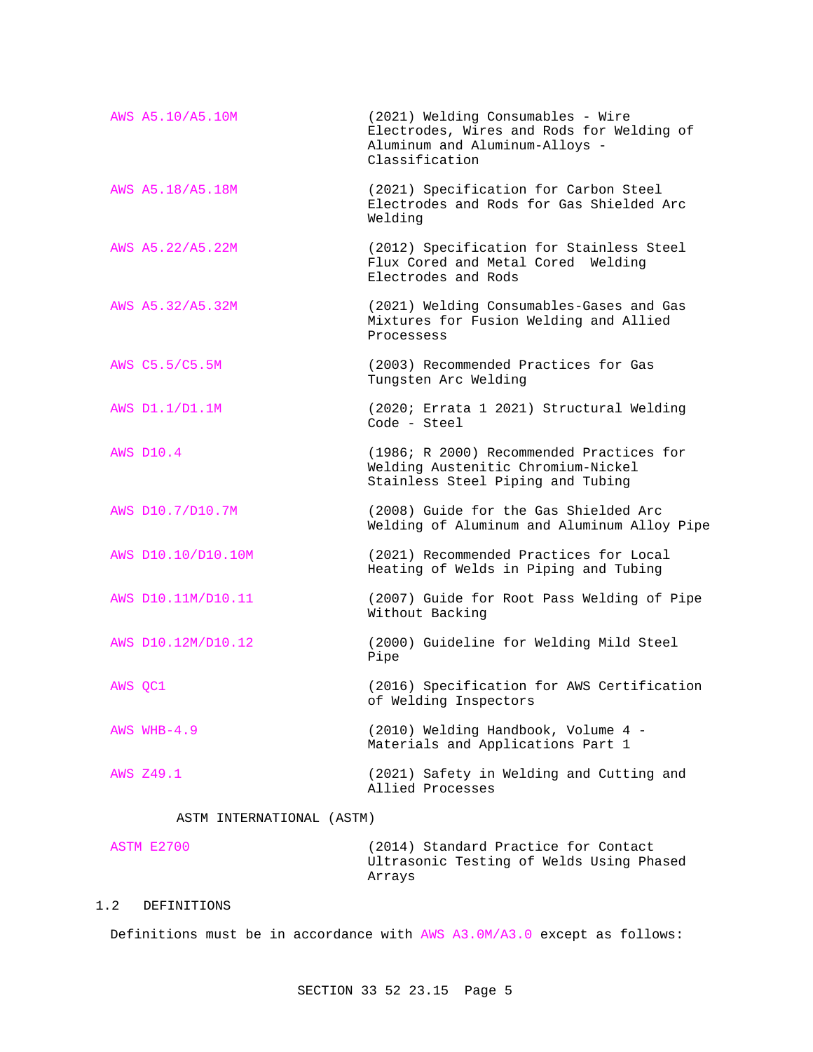|         | AWS A5.10/A5.10M          | (2021) Welding Consumables - Wire<br>Electrodes, Wires and Rods for Welding of<br>Aluminum and Aluminum-Alloys -<br>Classification |
|---------|---------------------------|------------------------------------------------------------------------------------------------------------------------------------|
|         | AWS A5.18/A5.18M          | (2021) Specification for Carbon Steel<br>Electrodes and Rods for Gas Shielded Arc<br>Welding                                       |
|         | AWS A5.22/A5.22M          | (2012) Specification for Stainless Steel<br>Flux Cored and Metal Cored Welding<br>Electrodes and Rods                              |
|         | AWS A5.32/A5.32M          | (2021) Welding Consumables-Gases and Gas<br>Mixtures for Fusion Welding and Allied<br>Processess                                   |
|         | AWS C5.5/C5.5M            | (2003) Recommended Practices for Gas<br>Tungsten Arc Welding                                                                       |
|         | AWS D1.1/D1.1M            | (2020; Errata 1 2021) Structural Welding<br>Code - Steel                                                                           |
|         | <b>AWS D10.4</b>          | (1986; R 2000) Recommended Practices for<br>Welding Austenitic Chromium-Nickel<br>Stainless Steel Piping and Tubing                |
|         | AWS D10.7/D10.7M          | (2008) Guide for the Gas Shielded Arc<br>Welding of Aluminum and Aluminum Alloy Pipe                                               |
|         | AWS D10.10/D10.10M        | (2021) Recommended Practices for Local<br>Heating of Welds in Piping and Tubing                                                    |
|         | AWS D10.11M/D10.11        | (2007) Guide for Root Pass Welding of Pipe<br>Without Backing                                                                      |
|         | AWS D10.12M/D10.12        | (2000) Guideline for Welding Mild Steel<br>Pipe                                                                                    |
| AWS OC1 |                           | (2016) Specification for AWS Certification<br>of Welding Inspectors                                                                |
|         | AWS WHB- $4.9$            | (2010) Welding Handbook, Volume 4 -<br>Materials and Applications Part 1                                                           |
|         | AWS Z49.1                 | (2021) Safety in Welding and Cutting and<br>Allied Processes                                                                       |
|         | ASTM INTERNATIONAL (ASTM) |                                                                                                                                    |

# ASTM E2700 (2014) Standard Practice for Contact Ultrasonic Testing of Welds Using Phased Arrays

# 1.2 DEFINITIONS

Definitions must be in accordance with AWS A3.0M/A3.0 except as follows: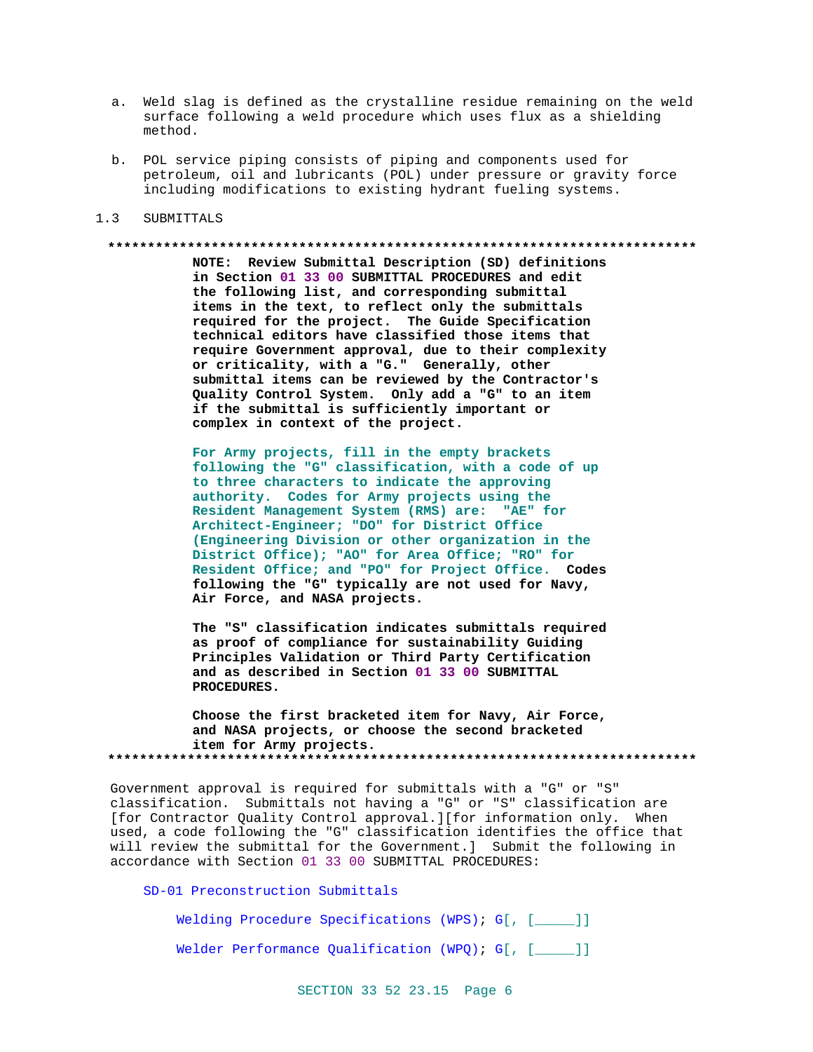- a. Weld slag is defined as the crystalline residue remaining on the weld surface following a weld procedure which uses flux as a shielding method.
- b. POL service piping consists of piping and components used for petroleum, oil and lubricants (POL) under pressure or gravity force including modifications to existing hydrant fueling systems.

#### $1.3$ SUBMITTALS

#### 

NOTE: Review Submittal Description (SD) definitions in Section 01 33 00 SUBMITTAL PROCEDURES and edit the following list, and corresponding submittal items in the text, to reflect only the submittals required for the project. The Guide Specification technical editors have classified those items that require Government approval, due to their complexity or criticality, with a "G." Generally, other submittal items can be reviewed by the Contractor's Quality Control System. Only add a "G" to an item if the submittal is sufficiently important or complex in context of the project.

For Army projects, fill in the empty brackets following the "G" classification, with a code of up to three characters to indicate the approving authority. Codes for Army projects using the Resident Management System (RMS) are: "AE" for Architect-Engineer; "DO" for District Office (Engineering Division or other organization in the District Office); "AO" for Area Office; "RO" for Resident Office; and "PO" for Project Office. Codes following the "G" typically are not used for Navy, Air Force, and NASA projects.

The "S" classification indicates submittals required as proof of compliance for sustainability Guiding Principles Validation or Third Party Certification and as described in Section 01 33 00 SUBMITTAL PROCEDURES.

Choose the first bracketed item for Navy, Air Force, and NASA projects, or choose the second bracketed item for Army projects. 

Government approval is required for submittals with a "G" or "S" classification. Submittals not having a "G" or "S" classification are [for Contractor Quality Control approval.][for information only. When used, a code following the "G" classification identifies the office that will review the submittal for the Government.] Submit the following in accordance with Section 01 33 00 SUBMITTAL PROCEDURES:

SD-01 Preconstruction Submittals

Welding Procedure Specifications (WPS); G[, [\_\_\_\_]]

Welder Performance Qualification  $(WPQ)$ ; G[, [ $\qquad$ ]]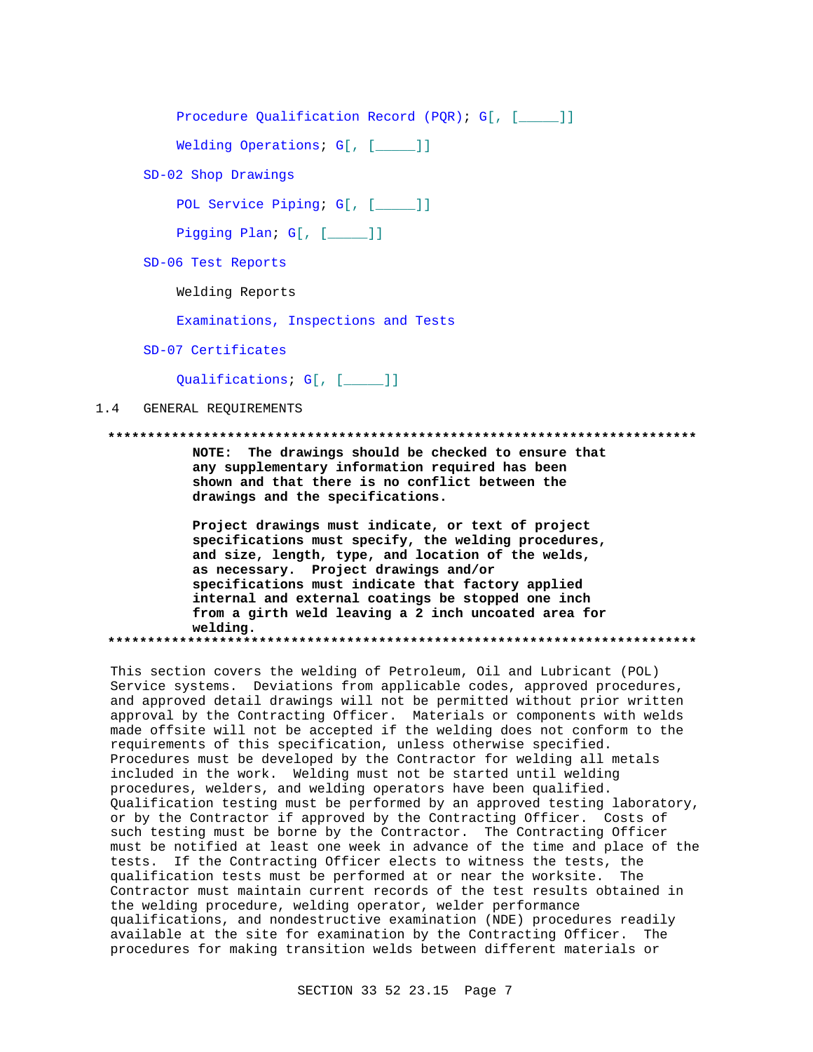```
Procedure Qualification Record (PQR); G[, [____]]
```
Welding Operations; G[, [\_\_\_\_]]

SD-02 Shop Drawings

POL Service Piping; G[, [\_\_\_\_]]

Pigging Plan; G[, [\_\_\_\_]]

SD-06 Test Reports

Welding Reports

Examinations, Inspections and Tests

SD-07 Certificates

Qualifications; G[, [\_\_\_\_]]

#### $1.4$ GENERAL REOUIREMENTS

#### 

NOTE: The drawings should be checked to ensure that any supplementary information required has been shown and that there is no conflict between the drawings and the specifications.

Project drawings must indicate, or text of project specifications must specify, the welding procedures, and size, length, type, and location of the welds, as necessary. Project drawings and/or specifications must indicate that factory applied internal and external coatings be stopped one inch from a girth weld leaving a 2 inch uncoated area for welding. 

This section covers the welding of Petroleum, Oil and Lubricant (POL) Service systems. Deviations from applicable codes, approved procedures, and approved detail drawings will not be permitted without prior written approval by the Contracting Officer. Materials or components with welds made offsite will not be accepted if the welding does not conform to the requirements of this specification, unless otherwise specified. Procedures must be developed by the Contractor for welding all metals included in the work. Welding must not be started until welding procedures, welders, and welding operators have been qualified. Qualification testing must be performed by an approved testing laboratory, or by the Contractor if approved by the Contracting Officer. Costs of such testing must be borne by the Contractor. The Contracting Officer must be notified at least one week in advance of the time and place of the tests. If the Contracting Officer elects to witness the tests, the qualification tests must be performed at or near the worksite. The Contractor must maintain current records of the test results obtained in the welding procedure, welding operator, welder performance qualifications, and nondestructive examination (NDE) procedures readily available at the site for examination by the Contracting Officer. The procedures for making transition welds between different materials or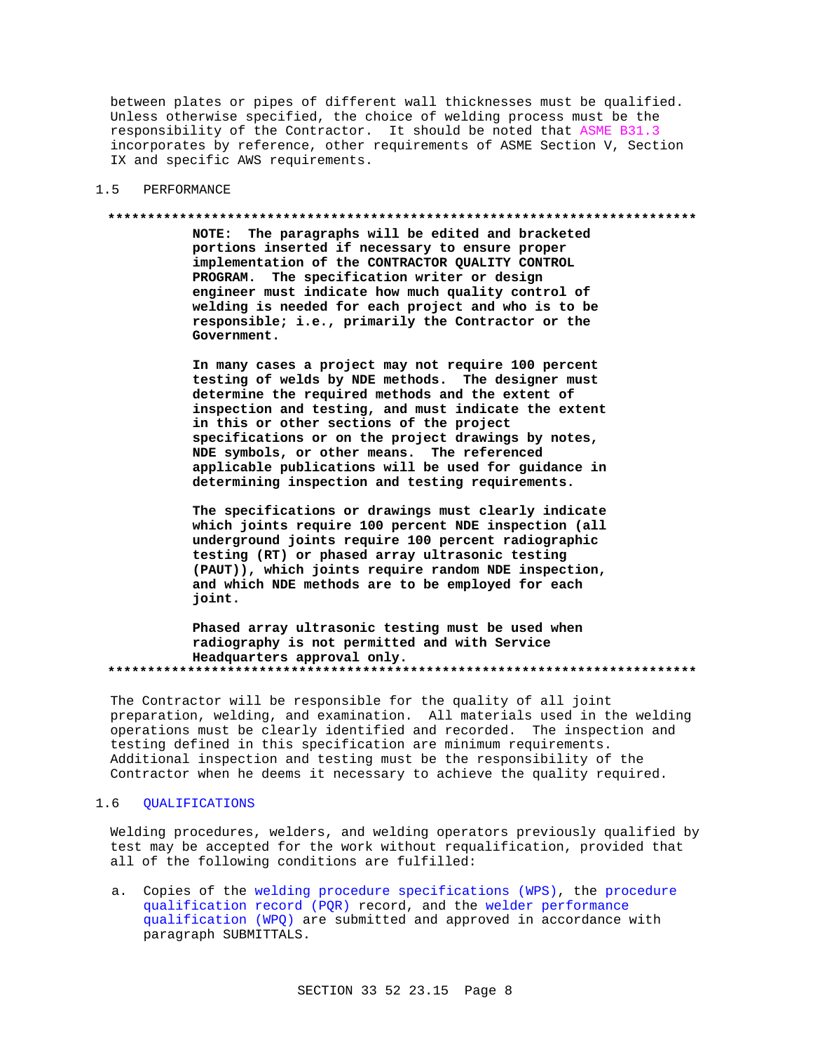between plates or pipes of different wall thicknesses must be qualified. Unless otherwise specified, the choice of welding process must be the responsibility of the Contractor. It should be noted that ASME B31.3 incorporates by reference, other requirements of ASME Section V, Section IX and specific AWS requirements.

#### $1.5$ PERFORMANCE

#### 

NOTE: The paragraphs will be edited and bracketed portions inserted if necessary to ensure proper implementation of the CONTRACTOR QUALITY CONTROL PROGRAM. The specification writer or design engineer must indicate how much quality control of welding is needed for each project and who is to be responsible; i.e., primarily the Contractor or the Government.

In many cases a project may not require 100 percent testing of welds by NDE methods. The designer must determine the required methods and the extent of inspection and testing, and must indicate the extent in this or other sections of the project specifications or on the project drawings by notes, NDE symbols, or other means. The referenced applicable publications will be used for guidance in determining inspection and testing requirements.

The specifications or drawings must clearly indicate which joints require 100 percent NDE inspection (all underground joints require 100 percent radiographic testing (RT) or phased array ultrasonic testing (PAUT)), which joints require random NDE inspection, and which NDE methods are to be employed for each joint.

Phased array ultrasonic testing must be used when radiography is not permitted and with Service Headquarters approval only. 

The Contractor will be responsible for the quality of all joint preparation, welding, and examination. All materials used in the welding operations must be clearly identified and recorded. The inspection and testing defined in this specification are minimum requirements. Additional inspection and testing must be the responsibility of the Contractor when he deems it necessary to achieve the quality required.

#### **OUALIFICATIONS**  $1.6$

Welding procedures, welders, and welding operators previously qualified by test may be accepted for the work without requalification, provided that all of the following conditions are fulfilled:

a. Copies of the welding procedure specifications (WPS), the procedure qualification record (PQR) record, and the welder performance qualification (WPQ) are submitted and approved in accordance with paragraph SUBMITTALS.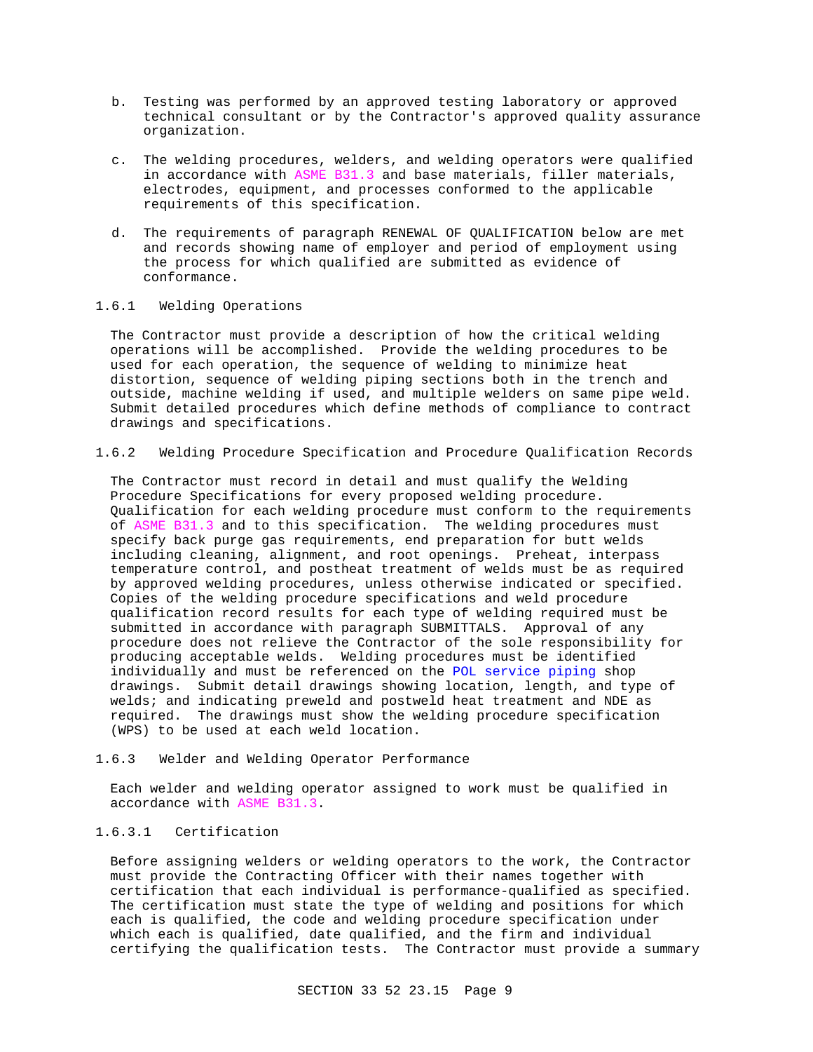- b. Testing was performed by an approved testing laboratory or approved technical consultant or by the Contractor's approved quality assurance organization.
- c. The welding procedures, welders, and welding operators were qualified in accordance with ASME B31.3 and base materials, filler materials, electrodes, equipment, and processes conformed to the applicable requirements of this specification.
- d. The requirements of paragraph RENEWAL OF QUALIFICATION below are met and records showing name of employer and period of employment using the process for which qualified are submitted as evidence of conformance.

# 1.6.1 Welding Operations

The Contractor must provide a description of how the critical welding operations will be accomplished. Provide the welding procedures to be used for each operation, the sequence of welding to minimize heat distortion, sequence of welding piping sections both in the trench and outside, machine welding if used, and multiple welders on same pipe weld. Submit detailed procedures which define methods of compliance to contract drawings and specifications.

1.6.2 Welding Procedure Specification and Procedure Qualification Records

The Contractor must record in detail and must qualify the Welding Procedure Specifications for every proposed welding procedure. Qualification for each welding procedure must conform to the requirements of ASME B31.3 and to this specification. The welding procedures must specify back purge gas requirements, end preparation for butt welds including cleaning, alignment, and root openings. Preheat, interpass temperature control, and postheat treatment of welds must be as required by approved welding procedures, unless otherwise indicated or specified. Copies of the welding procedure specifications and weld procedure qualification record results for each type of welding required must be submitted in accordance with paragraph SUBMITTALS. Approval of any procedure does not relieve the Contractor of the sole responsibility for producing acceptable welds. Welding procedures must be identified individually and must be referenced on the POL service piping shop drawings. Submit detail drawings showing location, length, and type of welds; and indicating preweld and postweld heat treatment and NDE as required. The drawings must show the welding procedure specification (WPS) to be used at each weld location.

# 1.6.3 Welder and Welding Operator Performance

Each welder and welding operator assigned to work must be qualified in accordance with ASME B31.3.

# 1.6.3.1 Certification

Before assigning welders or welding operators to the work, the Contractor must provide the Contracting Officer with their names together with certification that each individual is performance-qualified as specified. The certification must state the type of welding and positions for which each is qualified, the code and welding procedure specification under which each is qualified, date qualified, and the firm and individual certifying the qualification tests. The Contractor must provide a summary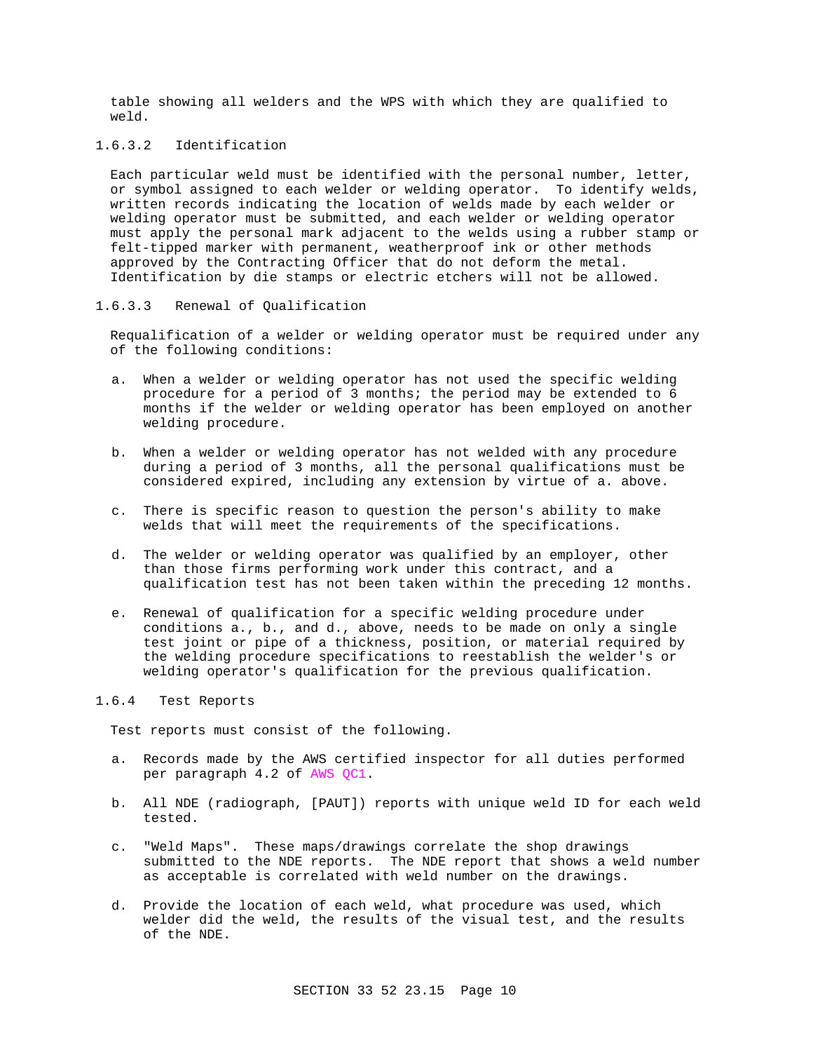table showing all welders and the WPS with which they are qualified to weld.

# 1.6.3.2 Identification

Each particular weld must be identified with the personal number, letter, or symbol assigned to each welder or welding operator. To identify welds, written records indicating the location of welds made by each welder or welding operator must be submitted, and each welder or welding operator must apply the personal mark adjacent to the welds using a rubber stamp or felt-tipped marker with permanent, weatherproof ink or other methods approved by the Contracting Officer that do not deform the metal. Identification by die stamps or electric etchers will not be allowed.

## 1.6.3.3 Renewal of Qualification

Requalification of a welder or welding operator must be required under any of the following conditions:

- a. When a welder or welding operator has not used the specific welding procedure for a period of 3 months; the period may be extended to 6 months if the welder or welding operator has been employed on another welding procedure.
- b. When a welder or welding operator has not welded with any procedure during a period of 3 months, all the personal qualifications must be considered expired, including any extension by virtue of a. above.
- c. There is specific reason to question the person's ability to make welds that will meet the requirements of the specifications.
- d. The welder or welding operator was qualified by an employer, other than those firms performing work under this contract, and a qualification test has not been taken within the preceding 12 months.
- e. Renewal of qualification for a specific welding procedure under conditions a., b., and d., above, needs to be made on only a single test joint or pipe of a thickness, position, or material required by the welding procedure specifications to reestablish the welder's or welding operator's qualification for the previous qualification.

# 1.6.4 Test Reports

Test reports must consist of the following.

- a. Records made by the AWS certified inspector for all duties performed per paragraph 4.2 of AWS QC1.
- b. All NDE (radiograph, [PAUT]) reports with unique weld ID for each weld tested.
- c. "Weld Maps". These maps/drawings correlate the shop drawings submitted to the NDE reports. The NDE report that shows a weld number as acceptable is correlated with weld number on the drawings.
- d. Provide the location of each weld, what procedure was used, which welder did the weld, the results of the visual test, and the results of the NDE.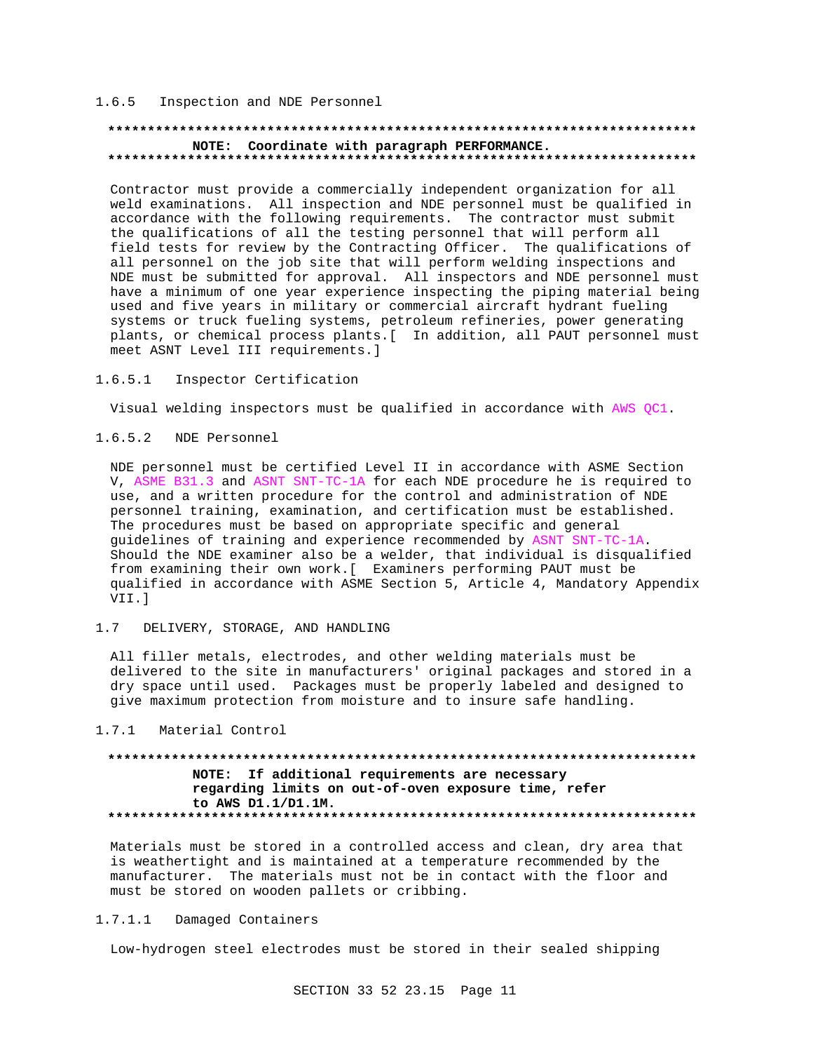## 1.6.5 Inspection and NDE Personnel

# **\*\*\*\*\*\*\*\*\*\*\*\*\*\*\*\*\*\*\*\*\*\*\*\*\*\*\*\*\*\*\*\*\*\*\*\*\*\*\*\*\*\*\*\*\*\*\*\*\*\*\*\*\*\*\*\*\*\*\*\*\*\*\*\*\*\*\*\*\*\*\*\*\*\* NOTE: Coordinate with paragraph PERFORMANCE. \*\*\*\*\*\*\*\*\*\*\*\*\*\*\*\*\*\*\*\*\*\*\*\*\*\*\*\*\*\*\*\*\*\*\*\*\*\*\*\*\*\*\*\*\*\*\*\*\*\*\*\*\*\*\*\*\*\*\*\*\*\*\*\*\*\*\*\*\*\*\*\*\*\***

Contractor must provide a commercially independent organization for all weld examinations. All inspection and NDE personnel must be qualified in accordance with the following requirements. The contractor must submit the qualifications of all the testing personnel that will perform all field tests for review by the Contracting Officer. The qualifications of all personnel on the job site that will perform welding inspections and NDE must be submitted for approval. All inspectors and NDE personnel must have a minimum of one year experience inspecting the piping material being used and five years in military or commercial aircraft hydrant fueling systems or truck fueling systems, petroleum refineries, power generating plants, or chemical process plants.[ In addition, all PAUT personnel must meet ASNT Level III requirements.]

## 1.6.5.1 Inspector Certification

Visual welding inspectors must be qualified in accordance with AWS QC1.

## 1.6.5.2 NDE Personnel

NDE personnel must be certified Level II in accordance with ASME Section V, ASME B31.3 and ASNT SNT-TC-1A for each NDE procedure he is required to use, and a written procedure for the control and administration of NDE personnel training, examination, and certification must be established. The procedures must be based on appropriate specific and general guidelines of training and experience recommended by ASNT SNT-TC-1A. Should the NDE examiner also be a welder, that individual is disqualified from examining their own work.[ Examiners performing PAUT must be qualified in accordance with ASME Section 5, Article 4, Mandatory Appendix VII.]

## 1.7 DELIVERY, STORAGE, AND HANDLING

All filler metals, electrodes, and other welding materials must be delivered to the site in manufacturers' original packages and stored in a dry space until used. Packages must be properly labeled and designed to give maximum protection from moisture and to insure safe handling.

## 1.7.1 Material Control

# **\*\*\*\*\*\*\*\*\*\*\*\*\*\*\*\*\*\*\*\*\*\*\*\*\*\*\*\*\*\*\*\*\*\*\*\*\*\*\*\*\*\*\*\*\*\*\*\*\*\*\*\*\*\*\*\*\*\*\*\*\*\*\*\*\*\*\*\*\*\*\*\*\*\* NOTE: If additional requirements are necessary regarding limits on out-of-oven exposure time, refer to AWS D1.1/D1.1M. \*\*\*\*\*\*\*\*\*\*\*\*\*\*\*\*\*\*\*\*\*\*\*\*\*\*\*\*\*\*\*\*\*\*\*\*\*\*\*\*\*\*\*\*\*\*\*\*\*\*\*\*\*\*\*\*\*\*\*\*\*\*\*\*\*\*\*\*\*\*\*\*\*\***

Materials must be stored in a controlled access and clean, dry area that is weathertight and is maintained at a temperature recommended by the manufacturer. The materials must not be in contact with the floor and must be stored on wooden pallets or cribbing.

#### 1.7.1.1 Damaged Containers

Low-hydrogen steel electrodes must be stored in their sealed shipping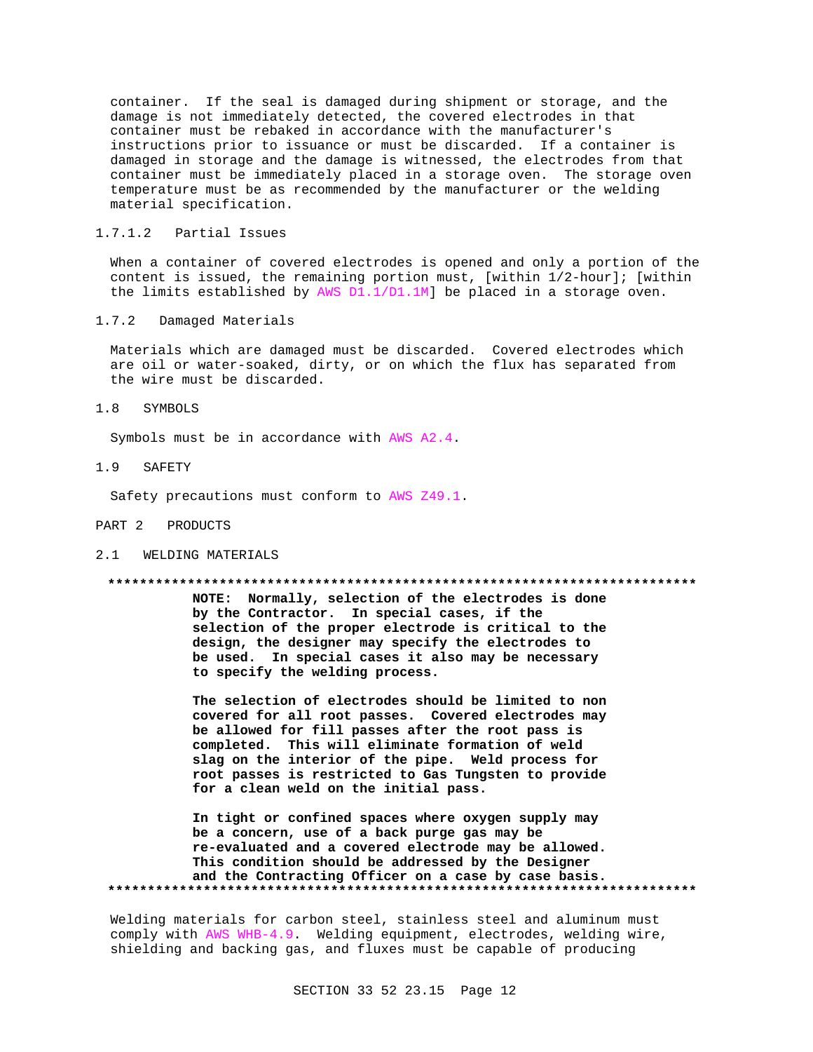container. If the seal is damaged during shipment or storage, and the damage is not immediately detected, the covered electrodes in that container must be rebaked in accordance with the manufacturer's instructions prior to issuance or must be discarded. If a container is damaged in storage and the damage is witnessed, the electrodes from that container must be immediately placed in a storage oven. The storage oven temperature must be as recommended by the manufacturer or the welding material specification.

# 1.7.1.2 Partial Issues

When a container of covered electrodes is opened and only a portion of the content is issued, the remaining portion must, [within 1/2-hour]; [within the limits established by AWS D1.1/D1.1M] be placed in a storage oven.

1.7.2 Damaged Materials

Materials which are damaged must be discarded. Covered electrodes which are oil or water-soaked, dirty, or on which the flux has separated from the wire must be discarded.

# 1.8 SYMBOLS

Symbols must be in accordance with AWS A2.4.

1.9 SAFETY

Safety precautions must conform to AWS Z49.1.

#### PART 2 PRODUCTS

2.1 WELDING MATERIALS

#### **\*\*\*\*\*\*\*\*\*\*\*\*\*\*\*\*\*\*\*\*\*\*\*\*\*\*\*\*\*\*\*\*\*\*\*\*\*\*\*\*\*\*\*\*\*\*\*\*\*\*\*\*\*\*\*\*\*\*\*\*\*\*\*\*\*\*\*\*\*\*\*\*\*\***

**NOTE: Normally, selection of the electrodes is done by the Contractor. In special cases, if the selection of the proper electrode is critical to the design, the designer may specify the electrodes to be used. In special cases it also may be necessary to specify the welding process.**

**The selection of electrodes should be limited to non covered for all root passes. Covered electrodes may be allowed for fill passes after the root pass is completed. This will eliminate formation of weld slag on the interior of the pipe. Weld process for root passes is restricted to Gas Tungsten to provide for a clean weld on the initial pass.**

**In tight or confined spaces where oxygen supply may be a concern, use of a back purge gas may be re-evaluated and a covered electrode may be allowed. This condition should be addressed by the Designer and the Contracting Officer on a case by case basis. \*\*\*\*\*\*\*\*\*\*\*\*\*\*\*\*\*\*\*\*\*\*\*\*\*\*\*\*\*\*\*\*\*\*\*\*\*\*\*\*\*\*\*\*\*\*\*\*\*\*\*\*\*\*\*\*\*\*\*\*\*\*\*\*\*\*\*\*\*\*\*\*\*\***

Welding materials for carbon steel, stainless steel and aluminum must comply with AWS WHB-4.9. Welding equipment, electrodes, welding wire, shielding and backing gas, and fluxes must be capable of producing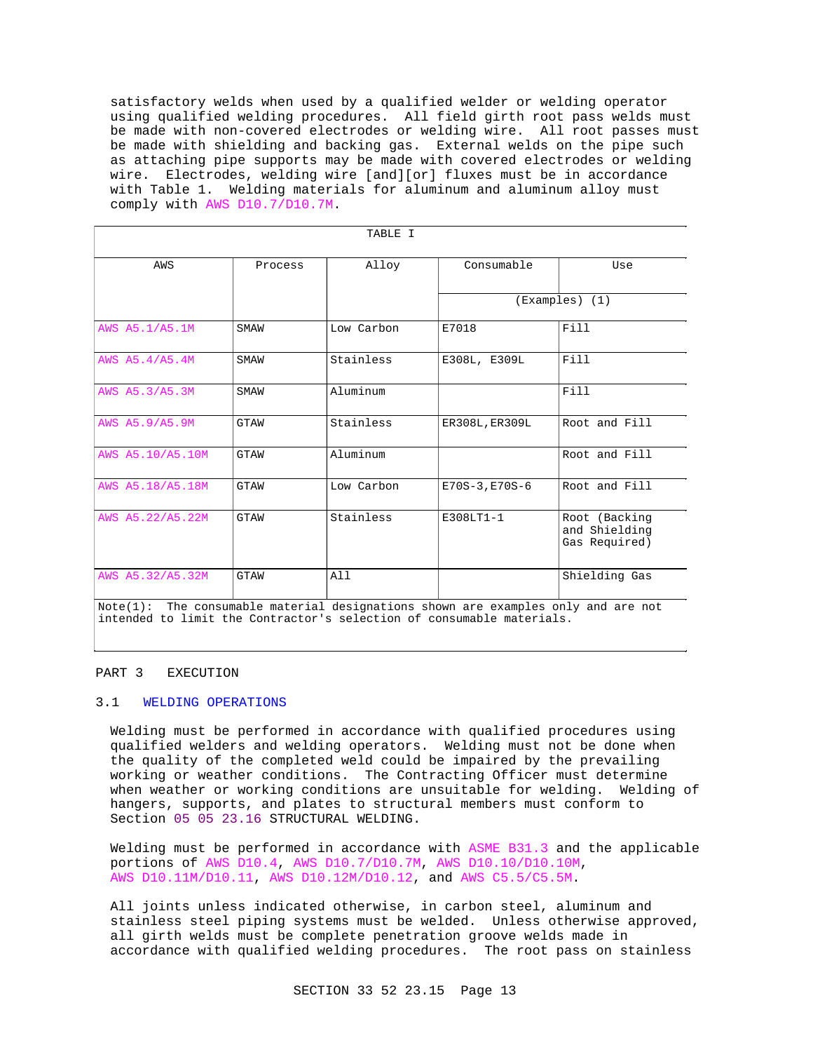satisfactory welds when used by a qualified welder or welding operator using qualified welding procedures. All field girth root pass welds must be made with non-covered electrodes or welding wire. All root passes must be made with shielding and backing gas. External welds on the pipe such as attaching pipe supports may be made with covered electrodes or welding wire. Electrodes, welding wire [and][or] fluxes must be in accordance with Table 1. Welding materials for aluminum and aluminum alloy must comply with AWS D10.7/D10.7M.

| TABLE I                                                                              |             |            |                    |                                                 |  |  |  |
|--------------------------------------------------------------------------------------|-------------|------------|--------------------|-------------------------------------------------|--|--|--|
| AWS                                                                                  | Process     | Alloy      | Consumable         | Use                                             |  |  |  |
|                                                                                      |             |            | $(Examples)$ $(1)$ |                                                 |  |  |  |
| AWS A5.1/A5.1M                                                                       | SMAW        | Low Carbon | E7018              | Fill                                            |  |  |  |
| AWS A5.4/A5.4M                                                                       | SMAW        | Stainless  | E308L, E309L       | Fill                                            |  |  |  |
| AWS A5.3/A5.3M                                                                       | SMAW        | Aluminum   |                    | Fill                                            |  |  |  |
| AWS A5.9/A5.9M                                                                       | GTAW        | Stainless  | ER308L, ER309L     | Root and Fill                                   |  |  |  |
| AWS A5.10/A5.10M                                                                     | <b>GTAW</b> | Aluminum   |                    | Root and Fill                                   |  |  |  |
| AWS A5.18/A5.18M                                                                     | <b>GTAW</b> | Low Carbon | $E70S-3, E70S-6$   | Root and Fill                                   |  |  |  |
| AWS A5.22/A5.22M                                                                     | GTAW        | Stainless  | E308LT1-1          | Root (Backing<br>and Shielding<br>Gas Required) |  |  |  |
| AWS A5.32/A5.32M                                                                     | <b>GTAW</b> | All        |                    | Shielding Gas                                   |  |  |  |
| The consumable material designations shown are examples only and are not<br>Note(1): |             |            |                    |                                                 |  |  |  |

intended to limit the Contractor's selection of consumable materials.

# PART 3 EXECUTION

# 3.1 WELDING OPERATIONS

Welding must be performed in accordance with qualified procedures using qualified welders and welding operators. Welding must not be done when the quality of the completed weld could be impaired by the prevailing working or weather conditions. The Contracting Officer must determine when weather or working conditions are unsuitable for welding. Welding of hangers, supports, and plates to structural members must conform to Section 05 05 23.16 STRUCTURAL WELDING.

Welding must be performed in accordance with ASME B31.3 and the applicable portions of AWS D10.4, AWS D10.7/D10.7M, AWS D10.10/D10.10M, AWS D10.11M/D10.11, AWS D10.12M/D10.12, and AWS C5.5/C5.5M.

All joints unless indicated otherwise, in carbon steel, aluminum and stainless steel piping systems must be welded. Unless otherwise approved, all girth welds must be complete penetration groove welds made in accordance with qualified welding procedures. The root pass on stainless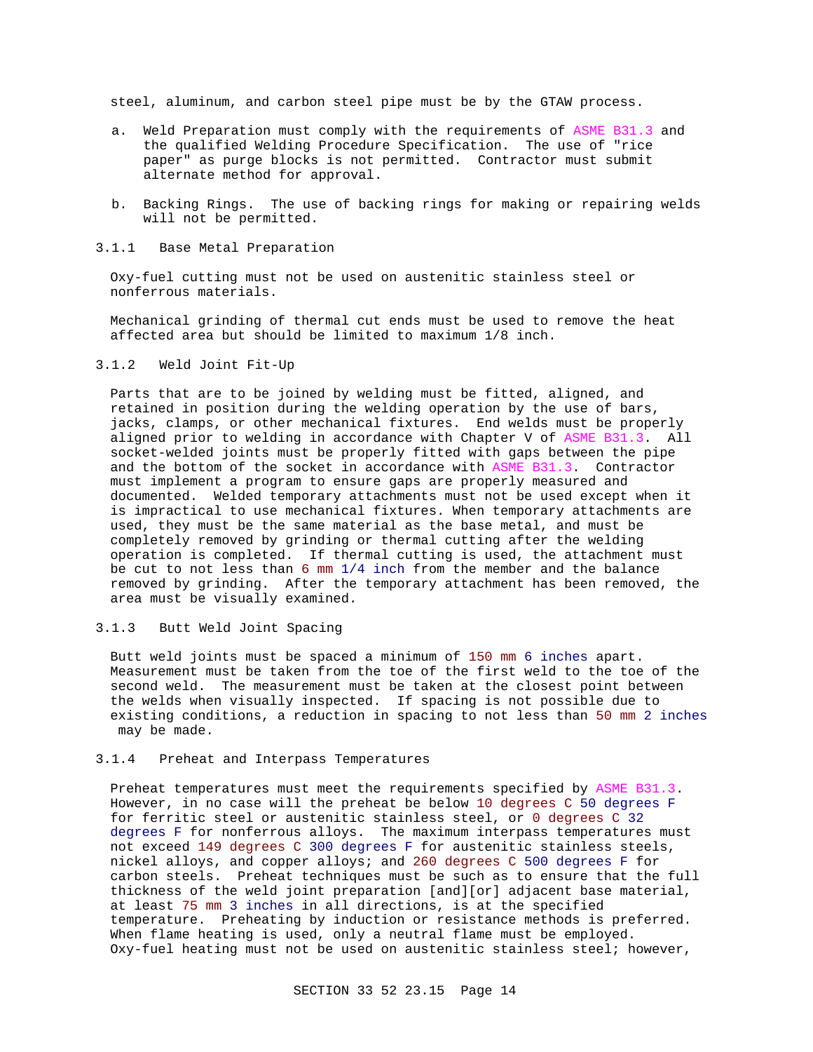steel, aluminum, and carbon steel pipe must be by the GTAW process.

- a. Weld Preparation must comply with the requirements of ASME B31.3 and the qualified Welding Procedure Specification. The use of "rice paper" as purge blocks is not permitted. Contractor must submit alternate method for approval.
- b. Backing Rings. The use of backing rings for making or repairing welds will not be permitted.
- 3.1.1 Base Metal Preparation

Oxy-fuel cutting must not be used on austenitic stainless steel or nonferrous materials.

Mechanical grinding of thermal cut ends must be used to remove the heat affected area but should be limited to maximum 1/8 inch.

3.1.2 Weld Joint Fit-Up

Parts that are to be joined by welding must be fitted, aligned, and retained in position during the welding operation by the use of bars, jacks, clamps, or other mechanical fixtures. End welds must be properly aligned prior to welding in accordance with Chapter V of ASME B31.3. All socket-welded joints must be properly fitted with gaps between the pipe and the bottom of the socket in accordance with ASME B31.3. Contractor must implement a program to ensure gaps are properly measured and documented. Welded temporary attachments must not be used except when it is impractical to use mechanical fixtures. When temporary attachments are used, they must be the same material as the base metal, and must be completely removed by grinding or thermal cutting after the welding operation is completed. If thermal cutting is used, the attachment must be cut to not less than 6 mm 1/4 inch from the member and the balance removed by grinding. After the temporary attachment has been removed, the area must be visually examined.

3.1.3 Butt Weld Joint Spacing

Butt weld joints must be spaced a minimum of 150 mm 6 inches apart. Measurement must be taken from the toe of the first weld to the toe of the second weld. The measurement must be taken at the closest point between the welds when visually inspected. If spacing is not possible due to existing conditions, a reduction in spacing to not less than 50 mm 2 inches may be made.

3.1.4 Preheat and Interpass Temperatures

Preheat temperatures must meet the requirements specified by ASME B31.3. However, in no case will the preheat be below 10 degrees C 50 degrees F for ferritic steel or austenitic stainless steel, or 0 degrees C 32 degrees F for nonferrous alloys. The maximum interpass temperatures must not exceed 149 degrees C 300 degrees F for austenitic stainless steels, nickel alloys, and copper alloys; and 260 degrees C 500 degrees F for carbon steels. Preheat techniques must be such as to ensure that the full thickness of the weld joint preparation [and][or] adjacent base material, at least 75 mm 3 inches in all directions, is at the specified temperature. Preheating by induction or resistance methods is preferred. When flame heating is used, only a neutral flame must be employed. Oxy-fuel heating must not be used on austenitic stainless steel; however,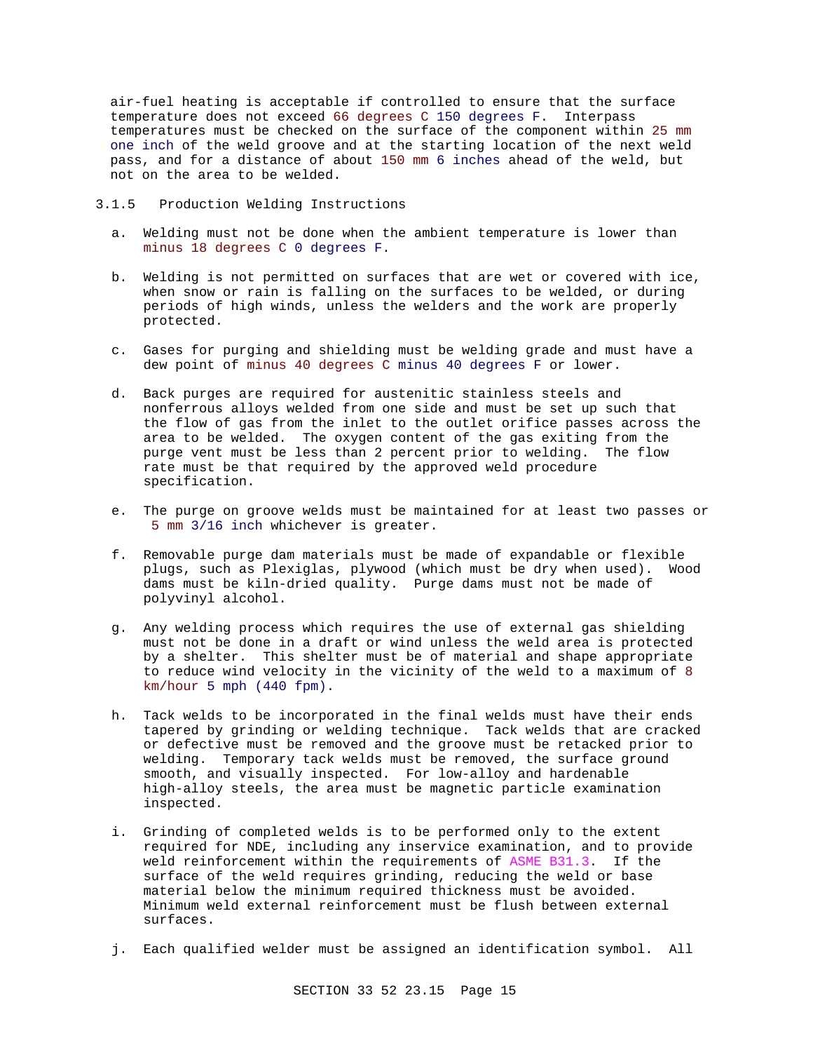air-fuel heating is acceptable if controlled to ensure that the surface temperature does not exceed 66 degrees C 150 degrees F. Interpass temperatures must be checked on the surface of the component within 25 mm one inch of the weld groove and at the starting location of the next weld pass, and for a distance of about 150 mm 6 inches ahead of the weld, but not on the area to be welded.

3.1.5 Production Welding Instructions

- a. Welding must not be done when the ambient temperature is lower than minus 18 degrees C 0 degrees F.
- b. Welding is not permitted on surfaces that are wet or covered with ice, when snow or rain is falling on the surfaces to be welded, or during periods of high winds, unless the welders and the work are properly protected.
- c. Gases for purging and shielding must be welding grade and must have a dew point of minus 40 degrees C minus 40 degrees F or lower.
- d. Back purges are required for austenitic stainless steels and nonferrous alloys welded from one side and must be set up such that the flow of gas from the inlet to the outlet orifice passes across the area to be welded. The oxygen content of the gas exiting from the purge vent must be less than 2 percent prior to welding. The flow rate must be that required by the approved weld procedure specification.
- e. The purge on groove welds must be maintained for at least two passes or 5 mm 3/16 inch whichever is greater.
- f. Removable purge dam materials must be made of expandable or flexible plugs, such as Plexiglas, plywood (which must be dry when used). Wood dams must be kiln-dried quality. Purge dams must not be made of polyvinyl alcohol.
- g. Any welding process which requires the use of external gas shielding must not be done in a draft or wind unless the weld area is protected by a shelter. This shelter must be of material and shape appropriate to reduce wind velocity in the vicinity of the weld to a maximum of 8 km/hour 5 mph (440 fpm).
- h. Tack welds to be incorporated in the final welds must have their ends tapered by grinding or welding technique. Tack welds that are cracked or defective must be removed and the groove must be retacked prior to welding. Temporary tack welds must be removed, the surface ground smooth, and visually inspected. For low-alloy and hardenable high-alloy steels, the area must be magnetic particle examination inspected.
- i. Grinding of completed welds is to be performed only to the extent required for NDE, including any inservice examination, and to provide weld reinforcement within the requirements of ASME B31.3. If the surface of the weld requires grinding, reducing the weld or base material below the minimum required thickness must be avoided. Minimum weld external reinforcement must be flush between external surfaces.
- j. Each qualified welder must be assigned an identification symbol. All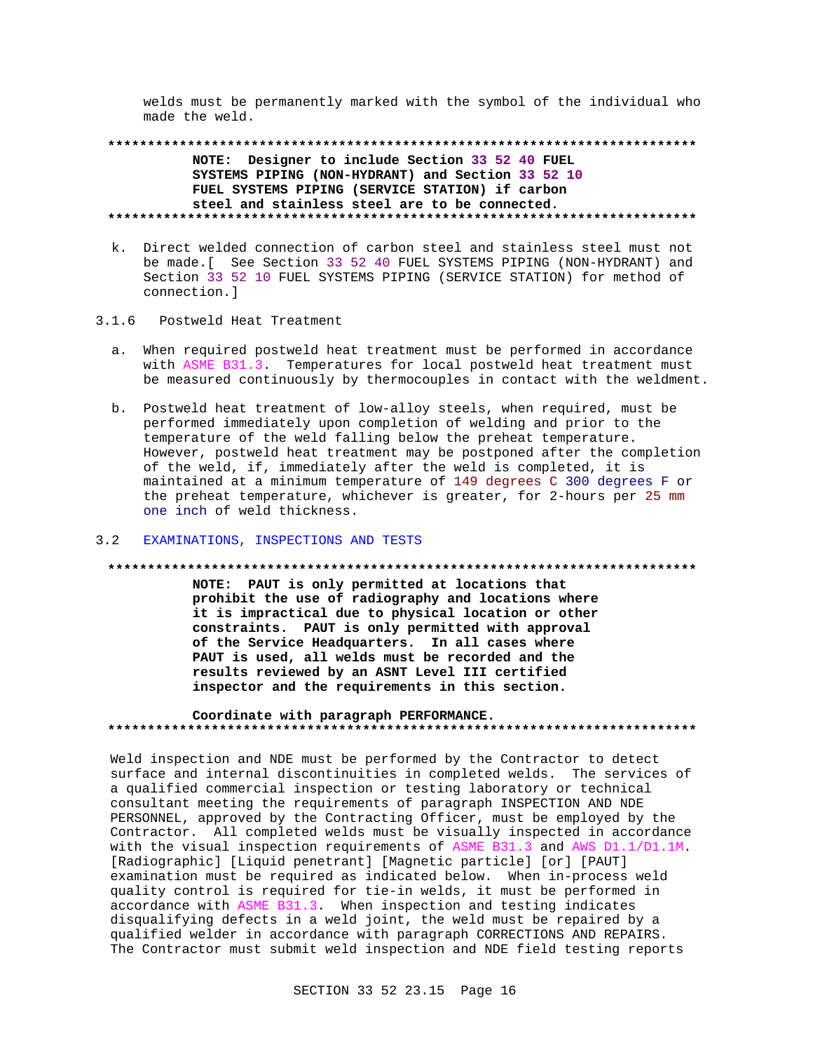welds must be permanently marked with the symbol of the individual who made the weld.

NOTE: Designer to include Section 33 52 40 FUEL SYSTEMS PIPING (NON-HYDRANT) and Section 33 52 10 FUEL SYSTEMS PIPING (SERVICE STATION) if carbon steel and stainless steel are to be connected. 

- k. Direct welded connection of carbon steel and stainless steel must not be made. [ See Section 33 52 40 FUEL SYSTEMS PIPING (NON-HYDRANT) and Section 33 52 10 FUEL SYSTEMS PIPING (SERVICE STATION) for method of connection.l
- Postweld Heat Treatment  $3.1.6$ 
	- a. When required postweld heat treatment must be performed in accordance with ASME B31.3. Temperatures for local postweld heat treatment must be measured continuously by thermocouples in contact with the weldment.
	- b. Postweld heat treatment of low-alloy steels, when required, must be performed immediately upon completion of welding and prior to the temperature of the weld falling below the preheat temperature. However, postweld heat treatment may be postponed after the completion of the weld, if, immediately after the weld is completed, it is maintained at a minimum temperature of 149 degrees C 300 degrees F or the preheat temperature, whichever is greater, for 2-hours per 25 mm one inch of weld thickness.

## 3.2 EXAMINATIONS, INSPECTIONS AND TESTS

#### 

NOTE: PAUT is only permitted at locations that prohibit the use of radiography and locations where it is impractical due to physical location or other constraints. PAUT is only permitted with approval of the Service Headquarters. In all cases where PAUT is used, all welds must be recorded and the results reviewed by an ASNT Level III certified inspector and the requirements in this section.

## Coordinate with paragraph PERFORMANCE.

Weld inspection and NDE must be performed by the Contractor to detect surface and internal discontinuities in completed welds. The services of a qualified commercial inspection or testing laboratory or technical consultant meeting the requirements of paragraph INSPECTION AND NDE PERSONNEL, approved by the Contracting Officer, must be employed by the Contractor. All completed welds must be visually inspected in accordance with the visual inspection requirements of ASME B31.3 and AWS D1.1/D1.1M. [Radiographic] [Liquid penetrant] [Magnetic particle] [or] [PAUT] examination must be required as indicated below. When in-process weld quality control is required for tie-in welds, it must be performed in accordance with ASME B31.3. When inspection and testing indicates disqualifying defects in a weld joint, the weld must be repaired by a qualified welder in accordance with paragraph CORRECTIONS AND REPAIRS. The Contractor must submit weld inspection and NDE field testing reports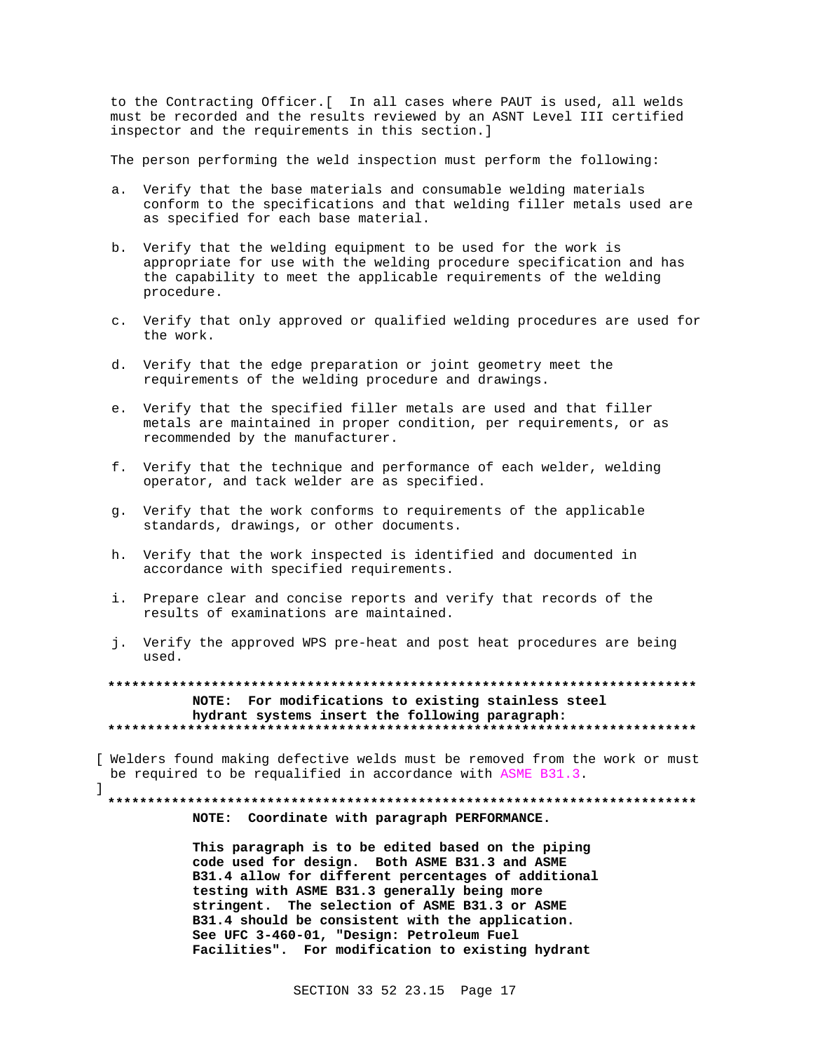to the Contracting Officer. [ In all cases where PAUT is used, all welds must be recorded and the results reviewed by an ASNT Level III certified inspector and the requirements in this section.]

The person performing the weld inspection must perform the following:

- a. Verify that the base materials and consumable welding materials conform to the specifications and that welding filler metals used are as specified for each base material.
- b. Verify that the welding equipment to be used for the work is appropriate for use with the welding procedure specification and has the capability to meet the applicable requirements of the welding procedure.
- c. Verify that only approved or qualified welding procedures are used for the work.
- d. Verify that the edge preparation or joint geometry meet the requirements of the welding procedure and drawings.
- e. Verify that the specified filler metals are used and that filler metals are maintained in proper condition, per requirements, or as recommended by the manufacturer.
- f. Verify that the technique and performance of each welder, welding operator, and tack welder are as specified.
- g. Verify that the work conforms to requirements of the applicable standards, drawings, or other documents.
- h. Verify that the work inspected is identified and documented in accordance with specified requirements.
- i. Prepare clear and concise reports and verify that records of the results of examinations are maintained.
- j. Verify the approved WPS pre-heat and post heat procedures are being used.

NOTE: For modifications to existing stainless steel hydrant systems insert the following paragraph: 

[ Welders found making defective welds must be removed from the work or must be required to be requalified in accordance with ASME B31.3.

1

# NOTE: Coordinate with paragraph PERFORMANCE.

This paragraph is to be edited based on the piping code used for design. Both ASME B31.3 and ASME B31.4 allow for different percentages of additional testing with ASME B31.3 generally being more stringent. The selection of ASME B31.3 or ASME B31.4 should be consistent with the application. See UFC 3-460-01, "Design: Petroleum Fuel Facilities". For modification to existing hydrant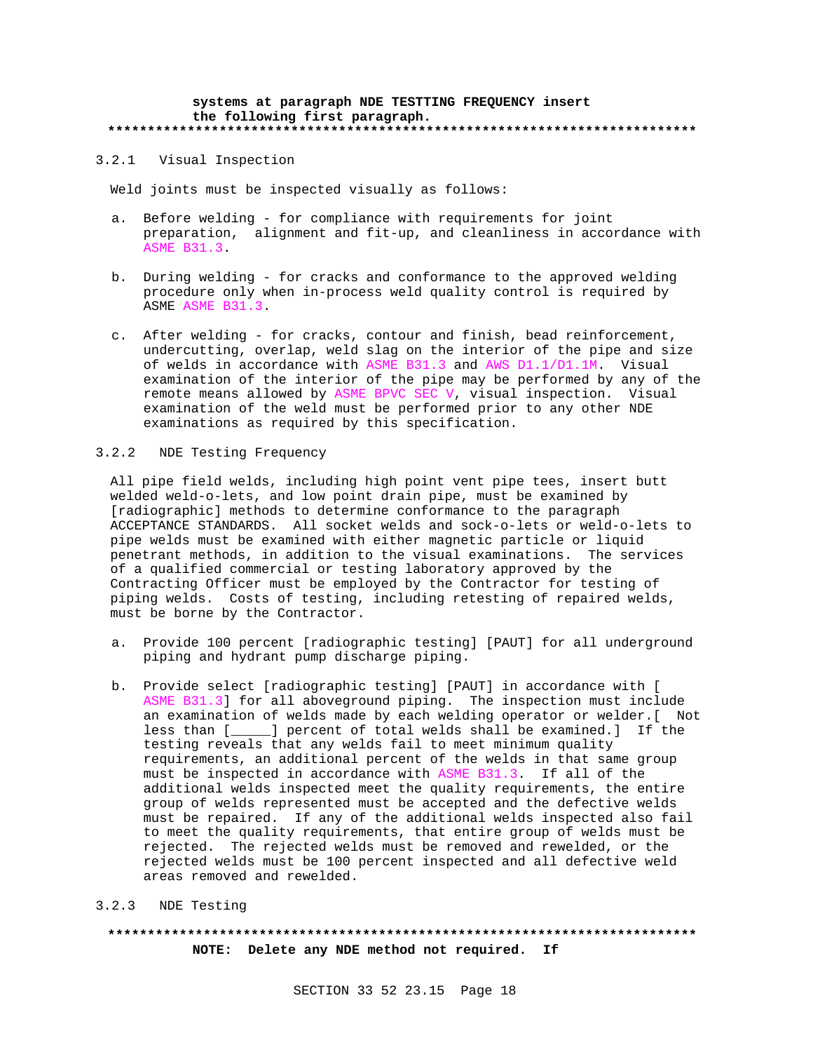#### **systems at paragraph NDE TESTTING FREQUENCY insert the following first paragraph. \*\*\*\*\*\*\*\*\*\*\*\*\*\*\*\*\*\*\*\*\*\*\*\*\*\*\*\*\*\*\*\*\*\*\*\*\*\*\*\*\*\*\*\*\*\*\*\*\*\*\*\*\*\*\*\*\*\*\*\*\*\*\*\*\*\*\*\*\*\*\*\*\*\***

## 3.2.1 Visual Inspection

Weld joints must be inspected visually as follows:

- a. Before welding for compliance with requirements for joint preparation, alignment and fit-up, and cleanliness in accordance with ASME B31.3.
- b. During welding for cracks and conformance to the approved welding procedure only when in-process weld quality control is required by ASME ASME B31.3.
- c. After welding for cracks, contour and finish, bead reinforcement, undercutting, overlap, weld slag on the interior of the pipe and size of welds in accordance with ASME B31.3 and AWS D1.1/D1.1M. Visual examination of the interior of the pipe may be performed by any of the remote means allowed by ASME BPVC SEC V, visual inspection. Visual examination of the weld must be performed prior to any other NDE examinations as required by this specification.

# 3.2.2 NDE Testing Frequency

All pipe field welds, including high point vent pipe tees, insert butt welded weld-o-lets, and low point drain pipe, must be examined by [radiographic] methods to determine conformance to the paragraph ACCEPTANCE STANDARDS. All socket welds and sock-o-lets or weld-o-lets to pipe welds must be examined with either magnetic particle or liquid penetrant methods, in addition to the visual examinations. The services of a qualified commercial or testing laboratory approved by the Contracting Officer must be employed by the Contractor for testing of piping welds. Costs of testing, including retesting of repaired welds, must be borne by the Contractor.

- a. Provide 100 percent [radiographic testing] [PAUT] for all underground piping and hydrant pump discharge piping.
- b. Provide select [radiographic testing] [PAUT] in accordance with [ ASME B31.3] for all aboveground piping. The inspection must include an examination of welds made by each welding operator or welder.[ Not less than [\_\_\_\_\_] percent of total welds shall be examined.] If the testing reveals that any welds fail to meet minimum quality requirements, an additional percent of the welds in that same group must be inspected in accordance with ASME B31.3. If all of the additional welds inspected meet the quality requirements, the entire group of welds represented must be accepted and the defective welds must be repaired. If any of the additional welds inspected also fail to meet the quality requirements, that entire group of welds must be rejected. The rejected welds must be removed and rewelded, or the rejected welds must be 100 percent inspected and all defective weld areas removed and rewelded.

# 3.2.3 NDE Testing

**\*\*\*\*\*\*\*\*\*\*\*\*\*\*\*\*\*\*\*\*\*\*\*\*\*\*\*\*\*\*\*\*\*\*\*\*\*\*\*\*\*\*\*\*\*\*\*\*\*\*\*\*\*\*\*\*\*\*\*\*\*\*\*\*\*\*\*\*\*\*\*\*\*\* NOTE: Delete any NDE method not required. If**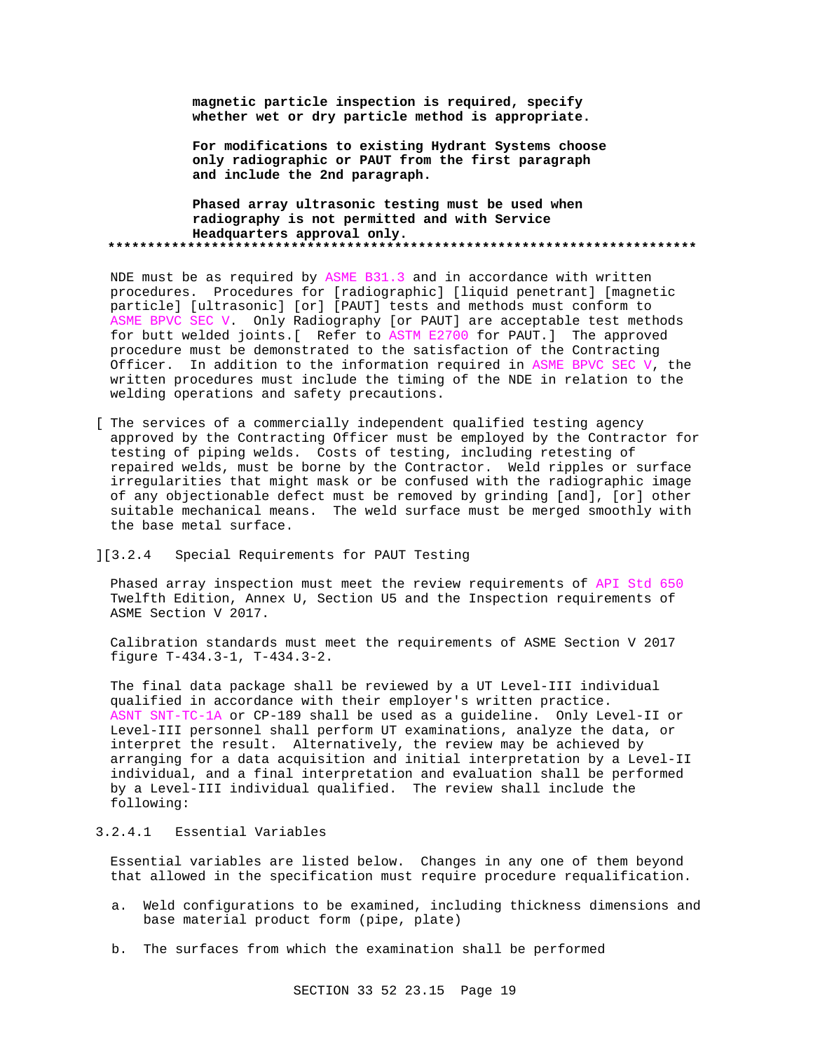**magnetic particle inspection is required, specify whether wet or dry particle method is appropriate.**

**For modifications to existing Hydrant Systems choose only radiographic or PAUT from the first paragraph and include the 2nd paragraph.**

# **Phased array ultrasonic testing must be used when radiography is not permitted and with Service Headquarters approval only. \*\*\*\*\*\*\*\*\*\*\*\*\*\*\*\*\*\*\*\*\*\*\*\*\*\*\*\*\*\*\*\*\*\*\*\*\*\*\*\*\*\*\*\*\*\*\*\*\*\*\*\*\*\*\*\*\*\*\*\*\*\*\*\*\*\*\*\*\*\*\*\*\*\***

NDE must be as required by ASME B31.3 and in accordance with written procedures. Procedures for [radiographic] [liquid penetrant] [magnetic particle] [ultrasonic] [or] [PAUT] tests and methods must conform to ASME BPVC SEC V. Only Radiography [or PAUT] are acceptable test methods for butt welded joints.[ Refer to ASTM E2700 for PAUT.] The approved procedure must be demonstrated to the satisfaction of the Contracting Officer. In addition to the information required in ASME BPVC SEC V, the written procedures must include the timing of the NDE in relation to the welding operations and safety precautions.

[ The services of a commercially independent qualified testing agency approved by the Contracting Officer must be employed by the Contractor for testing of piping welds. Costs of testing, including retesting of repaired welds, must be borne by the Contractor. Weld ripples or surface irregularities that might mask or be confused with the radiographic image of any objectionable defect must be removed by grinding [and], [or] other suitable mechanical means. The weld surface must be merged smoothly with the base metal surface.

## ][3.2.4 Special Requirements for PAUT Testing

Phased array inspection must meet the review requirements of API Std 650 Twelfth Edition, Annex U, Section U5 and the Inspection requirements of ASME Section V 2017.

Calibration standards must meet the requirements of ASME Section V 2017 figure T-434.3-1, T-434.3-2.

The final data package shall be reviewed by a UT Level-III individual qualified in accordance with their employer's written practice. ASNT SNT-TC-1A or CP-189 shall be used as a guideline. Only Level-II or Level-III personnel shall perform UT examinations, analyze the data, or interpret the result. Alternatively, the review may be achieved by arranging for a data acquisition and initial interpretation by a Level-II individual, and a final interpretation and evaluation shall be performed by a Level-III individual qualified. The review shall include the following:

# 3.2.4.1 Essential Variables

Essential variables are listed below. Changes in any one of them beyond that allowed in the specification must require procedure requalification.

- a. Weld configurations to be examined, including thickness dimensions and base material product form (pipe, plate)
- b. The surfaces from which the examination shall be performed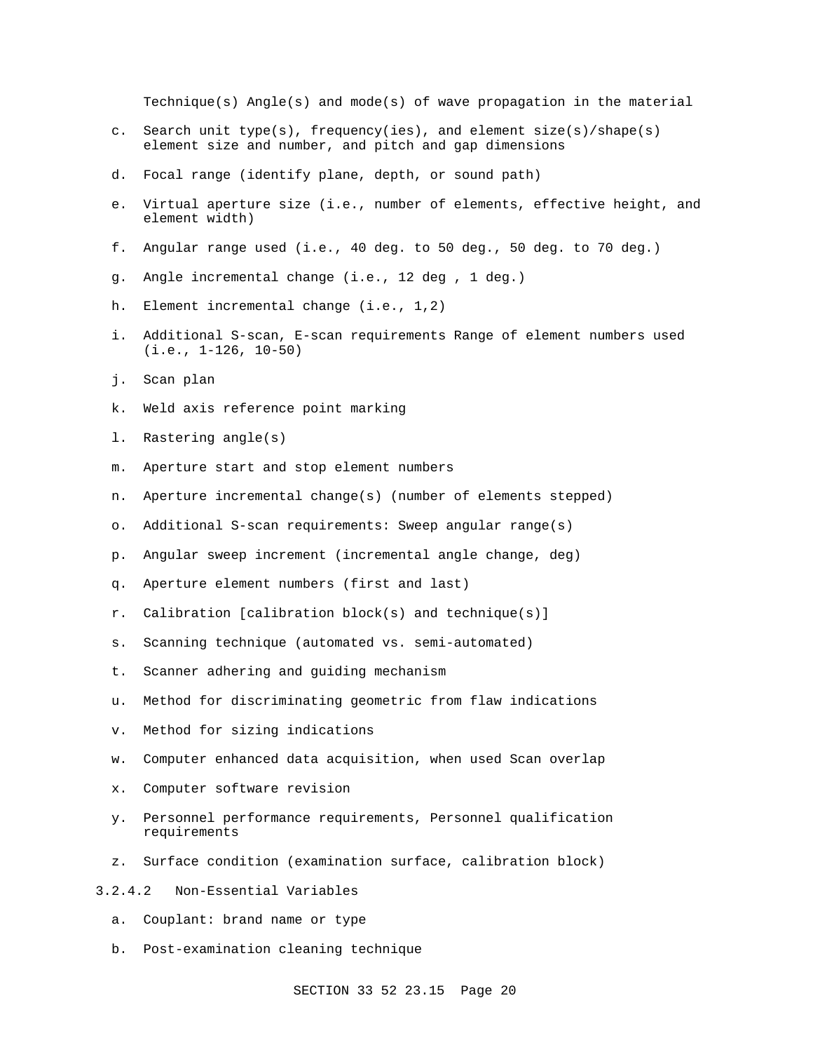Technique(s) Angle(s) and mode(s) of wave propagation in the material

- c. Search unit type(s), frequency(ies), and element size(s)/shape(s) element size and number, and pitch and gap dimensions
- d. Focal range (identify plane, depth, or sound path)
- e. Virtual aperture size (i.e., number of elements, effective height, and element width)
- f. Angular range used (i.e., 40 deg. to 50 deg., 50 deg. to 70 deg.)
- g. Angle incremental change (i.e., 12 deg , 1 deg.)
- h. Element incremental change (i.e., 1,2)
- i. Additional S-scan, E-scan requirements Range of element numbers used (i.e., 1-126, 10-50)
- j. Scan plan
- k. Weld axis reference point marking
- l. Rastering angle(s)
- m. Aperture start and stop element numbers
- n. Aperture incremental change(s) (number of elements stepped)
- o. Additional S-scan requirements: Sweep angular range(s)
- p. Angular sweep increment (incremental angle change, deg)
- q. Aperture element numbers (first and last)
- r. Calibration [calibration block(s) and technique(s)]
- s. Scanning technique (automated vs. semi-automated)
- t. Scanner adhering and guiding mechanism
- u. Method for discriminating geometric from flaw indications
- v. Method for sizing indications
- w. Computer enhanced data acquisition, when used Scan overlap
- x. Computer software revision
- y. Personnel performance requirements, Personnel qualification requirements
- z. Surface condition (examination surface, calibration block)
- 3.2.4.2 Non-Essential Variables
	- a. Couplant: brand name or type
	- b. Post-examination cleaning technique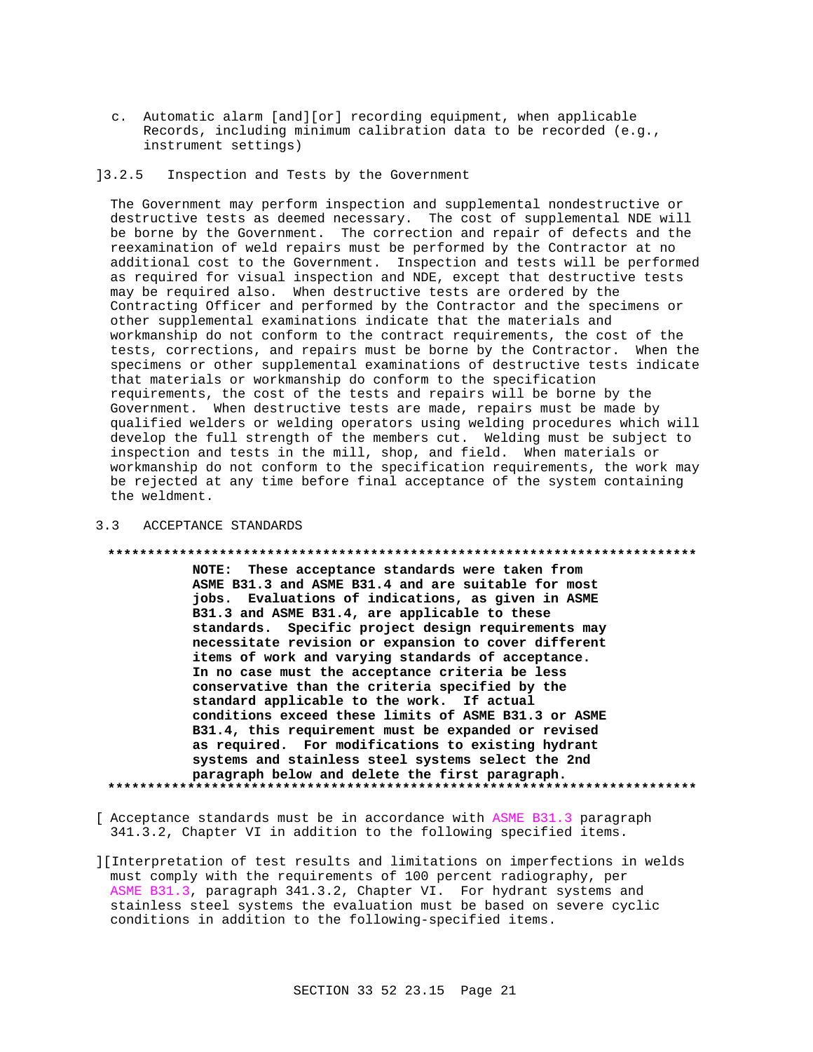c. Automatic alarm [and][or] recording equipment, when applicable Records, including minimum calibration data to be recorded (e.g., instrument settings)

# ]3.2.5 Inspection and Tests by the Government

The Government may perform inspection and supplemental nondestructive or destructive tests as deemed necessary. The cost of supplemental NDE will be borne by the Government. The correction and repair of defects and the reexamination of weld repairs must be performed by the Contractor at no additional cost to the Government. Inspection and tests will be performed as required for visual inspection and NDE, except that destructive tests may be required also. When destructive tests are ordered by the Contracting Officer and performed by the Contractor and the specimens or other supplemental examinations indicate that the materials and workmanship do not conform to the contract requirements, the cost of the tests, corrections, and repairs must be borne by the Contractor. When the specimens or other supplemental examinations of destructive tests indicate that materials or workmanship do conform to the specification requirements, the cost of the tests and repairs will be borne by the Government. When destructive tests are made, repairs must be made by qualified welders or welding operators using welding procedures which will develop the full strength of the members cut. Welding must be subject to inspection and tests in the mill, shop, and field. When materials or workmanship do not conform to the specification requirements, the work may be rejected at any time before final acceptance of the system containing the weldment.

# 3.3 ACCEPTANCE STANDARDS

#### **\*\*\*\*\*\*\*\*\*\*\*\*\*\*\*\*\*\*\*\*\*\*\*\*\*\*\*\*\*\*\*\*\*\*\*\*\*\*\*\*\*\*\*\*\*\*\*\*\*\*\*\*\*\*\*\*\*\*\*\*\*\*\*\*\*\*\*\*\*\*\*\*\*\***

**NOTE: These acceptance standards were taken from ASME B31.3 and ASME B31.4 and are suitable for most jobs. Evaluations of indications, as given in ASME B31.3 and ASME B31.4, are applicable to these standards. Specific project design requirements may necessitate revision or expansion to cover different items of work and varying standards of acceptance. In no case must the acceptance criteria be less conservative than the criteria specified by the standard applicable to the work. If actual conditions exceed these limits of ASME B31.3 or ASME B31.4, this requirement must be expanded or revised as required. For modifications to existing hydrant systems and stainless steel systems select the 2nd paragraph below and delete the first paragraph. \*\*\*\*\*\*\*\*\*\*\*\*\*\*\*\*\*\*\*\*\*\*\*\*\*\*\*\*\*\*\*\*\*\*\*\*\*\*\*\*\*\*\*\*\*\*\*\*\*\*\*\*\*\*\*\*\*\*\*\*\*\*\*\*\*\*\*\*\*\*\*\*\*\***

[ Acceptance standards must be in accordance with ASME B31.3 paragraph 341.3.2, Chapter VI in addition to the following specified items.

][Interpretation of test results and limitations on imperfections in welds must comply with the requirements of 100 percent radiography, per ASME B31.3, paragraph 341.3.2, Chapter VI. For hydrant systems and stainless steel systems the evaluation must be based on severe cyclic conditions in addition to the following-specified items.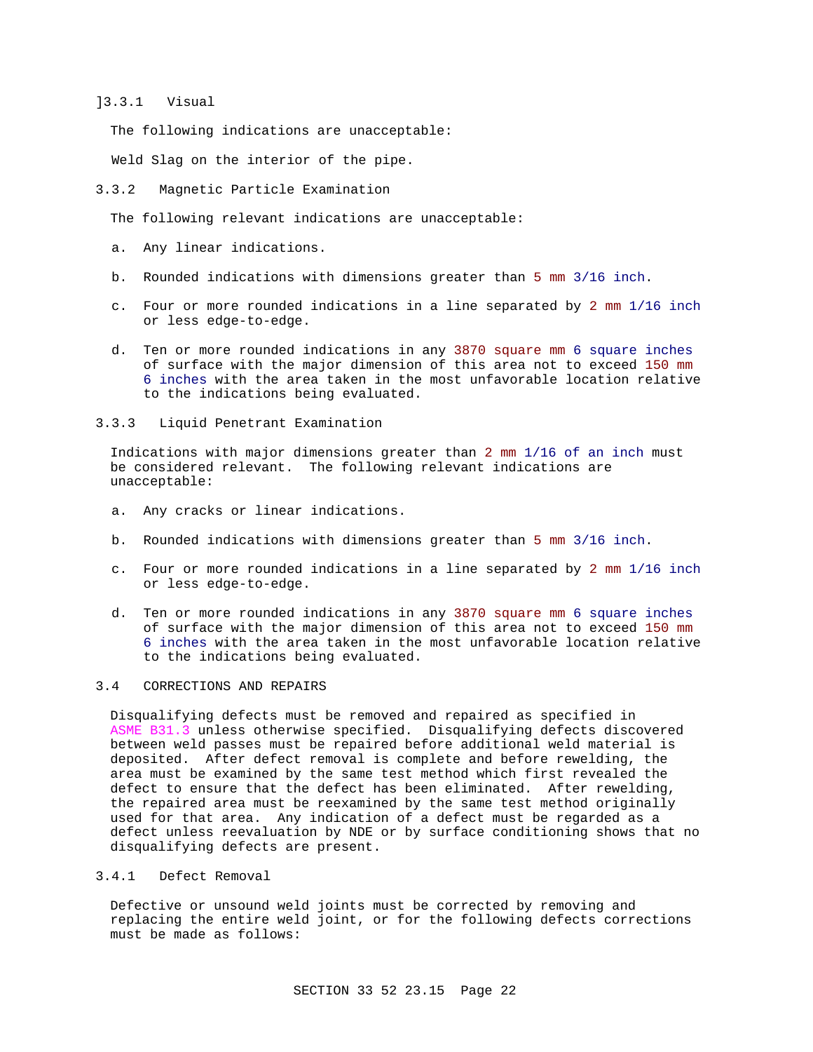# ]3.3.1 Visual

The following indications are unacceptable:

Weld Slag on the interior of the pipe.

3.3.2 Magnetic Particle Examination

The following relevant indications are unacceptable:

- a. Any linear indications.
- b. Rounded indications with dimensions greater than 5 mm 3/16 inch.
- c. Four or more rounded indications in a line separated by 2 mm 1/16 inch or less edge-to-edge.
- d. Ten or more rounded indications in any 3870 square mm 6 square inches of surface with the major dimension of this area not to exceed 150 mm 6 inches with the area taken in the most unfavorable location relative to the indications being evaluated.
- 3.3.3 Liquid Penetrant Examination

Indications with major dimensions greater than 2 mm 1/16 of an inch must be considered relevant. The following relevant indications are unacceptable:

- a. Any cracks or linear indications.
- b. Rounded indications with dimensions greater than 5 mm 3/16 inch.
- c. Four or more rounded indications in a line separated by 2 mm 1/16 inch or less edge-to-edge.
- d. Ten or more rounded indications in any 3870 square mm 6 square inches of surface with the major dimension of this area not to exceed 150 mm 6 inches with the area taken in the most unfavorable location relative to the indications being evaluated.

# 3.4 CORRECTIONS AND REPAIRS

Disqualifying defects must be removed and repaired as specified in ASME B31.3 unless otherwise specified. Disqualifying defects discovered between weld passes must be repaired before additional weld material is deposited. After defect removal is complete and before rewelding, the area must be examined by the same test method which first revealed the defect to ensure that the defect has been eliminated. After rewelding, the repaired area must be reexamined by the same test method originally used for that area. Any indication of a defect must be regarded as a defect unless reevaluation by NDE or by surface conditioning shows that no disqualifying defects are present.

# 3.4.1 Defect Removal

Defective or unsound weld joints must be corrected by removing and replacing the entire weld joint, or for the following defects corrections must be made as follows: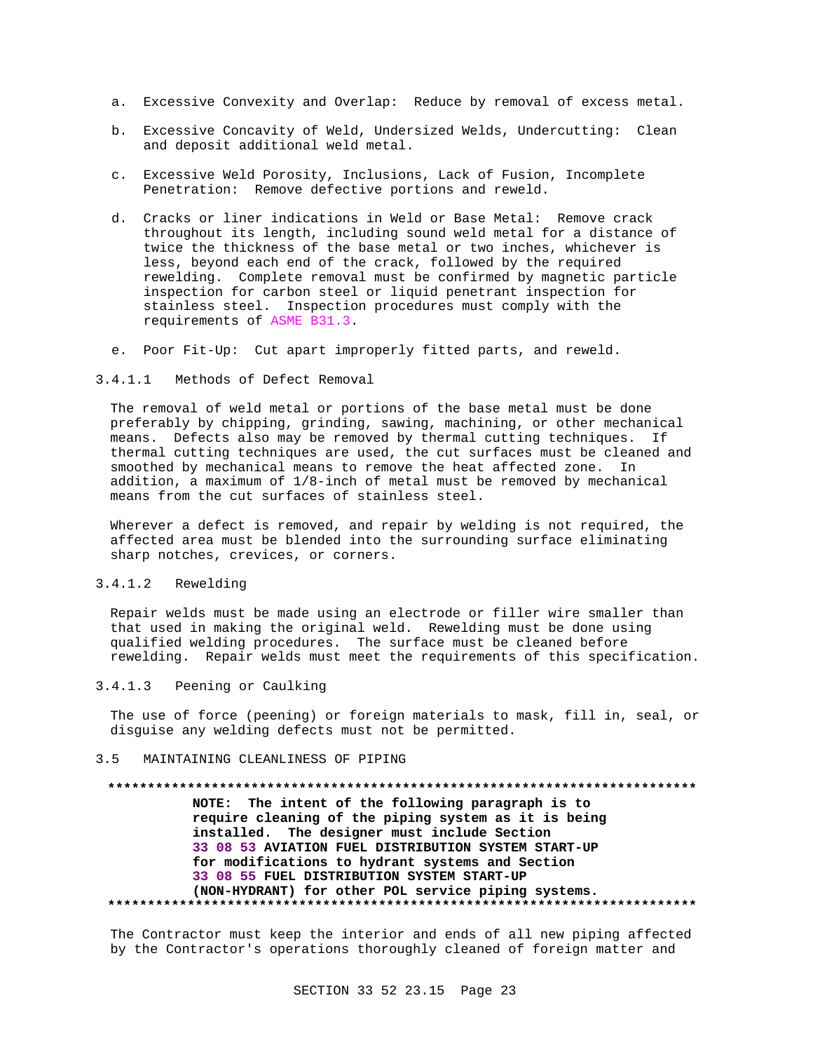- a. Excessive Convexity and Overlap: Reduce by removal of excess metal.
- b. Excessive Concavity of Weld, Undersized Welds, Undercutting: Clean and deposit additional weld metal.
- c. Excessive Weld Porosity, Inclusions, Lack of Fusion, Incomplete Penetration: Remove defective portions and reweld.
- d. Cracks or liner indications in Weld or Base Metal: Remove crack throughout its length, including sound weld metal for a distance of twice the thickness of the base metal or two inches, whichever is less, beyond each end of the crack, followed by the required rewelding. Complete removal must be confirmed by magnetic particle inspection for carbon steel or liquid penetrant inspection for stainless steel. Inspection procedures must comply with the requirements of ASME B31.3.
- e. Poor Fit-Up: Cut apart improperly fitted parts, and reweld.
- 3.4.1.1 Methods of Defect Removal

The removal of weld metal or portions of the base metal must be done preferably by chipping, grinding, sawing, machining, or other mechanical means. Defects also may be removed by thermal cutting techniques. If thermal cutting techniques are used, the cut surfaces must be cleaned and smoothed by mechanical means to remove the heat affected zone. In addition, a maximum of 1/8-inch of metal must be removed by mechanical means from the cut surfaces of stainless steel.

Wherever a defect is removed, and repair by welding is not required, the affected area must be blended into the surrounding surface eliminating sharp notches, crevices, or corners.

# 3.4.1.2 Rewelding

Repair welds must be made using an electrode or filler wire smaller than that used in making the original weld. Rewelding must be done using qualified welding procedures. The surface must be cleaned before rewelding. Repair welds must meet the requirements of this specification.

3.4.1.3 Peening or Caulking

The use of force (peening) or foreign materials to mask, fill in, seal, or disguise any welding defects must not be permitted.

## 3.5 MAINTAINING CLEANLINESS OF PIPING

#### **\*\*\*\*\*\*\*\*\*\*\*\*\*\*\*\*\*\*\*\*\*\*\*\*\*\*\*\*\*\*\*\*\*\*\*\*\*\*\*\*\*\*\*\*\*\*\*\*\*\*\*\*\*\*\*\*\*\*\*\*\*\*\*\*\*\*\*\*\*\*\*\*\*\***

**NOTE: The intent of the following paragraph is to require cleaning of the piping system as it is being installed. The designer must include Section 33 08 53 AVIATION FUEL DISTRIBUTION SYSTEM START-UP for modifications to hydrant systems and Section 33 08 55 FUEL DISTRIBUTION SYSTEM START-UP (NON-HYDRANT) for other POL service piping systems. \*\*\*\*\*\*\*\*\*\*\*\*\*\*\*\*\*\*\*\*\*\*\*\*\*\*\*\*\*\*\*\*\*\*\*\*\*\*\*\*\*\*\*\*\*\*\*\*\*\*\*\*\*\*\*\*\*\*\*\*\*\*\*\*\*\*\*\*\*\*\*\*\*\***

The Contractor must keep the interior and ends of all new piping affected by the Contractor's operations thoroughly cleaned of foreign matter and